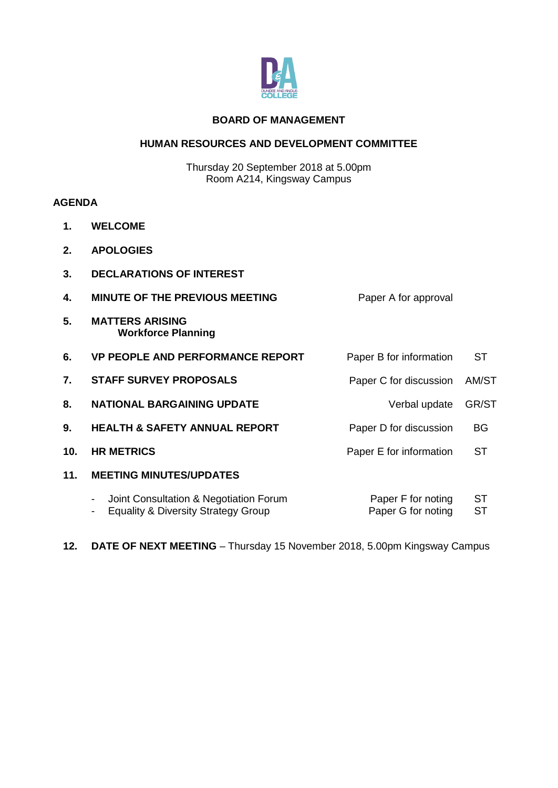

#### **BOARD OF MANAGEMENT**

#### **HUMAN RESOURCES AND DEVELOPMENT COMMITTEE**

Thursday 20 September 2018 at 5.00pm Room A214, Kingsway Campus

#### **AGENDA**

- **1. WELCOME**
- **2. APOLOGIES**
- **3. DECLARATIONS OF INTEREST**
- **4. MINUTE OF THE PREVIOUS MEETING FOR A Paper A for approval**
- **5. MATTERS ARISING Workforce Planning**
- **6. VP PEOPLE AND PERFORMANCE REPORT** Paper B for information ST **7. STAFF SURVEY PROPOSALS Paper C for discussion** AM/ST 8. **NATIONAL BARGAINING UPDATE** Verbal update GR/ST **9. HEALTH & SAFETY ANNUAL REPORT** Paper D for discussion BG **10. HR METRICS** Paper E for information ST **11. MEETING MINUTES/UPDATES**
	- Joint Consultation & Negotiation Forum - Equality & Diversity Strategy Group Paper F for noting Paper G for noting **ST ST**
- **12. DATE OF NEXT MEETING** Thursday 15 November 2018, 5.00pm Kingsway Campus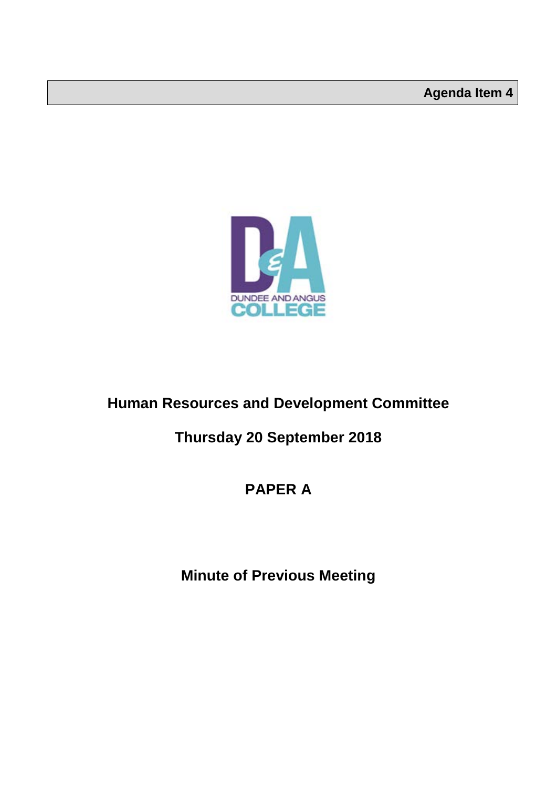

## **Human Resources and Development Committee**

### **Thursday 20 September 2018**

### **PAPER A**

**Minute of Previous Meeting**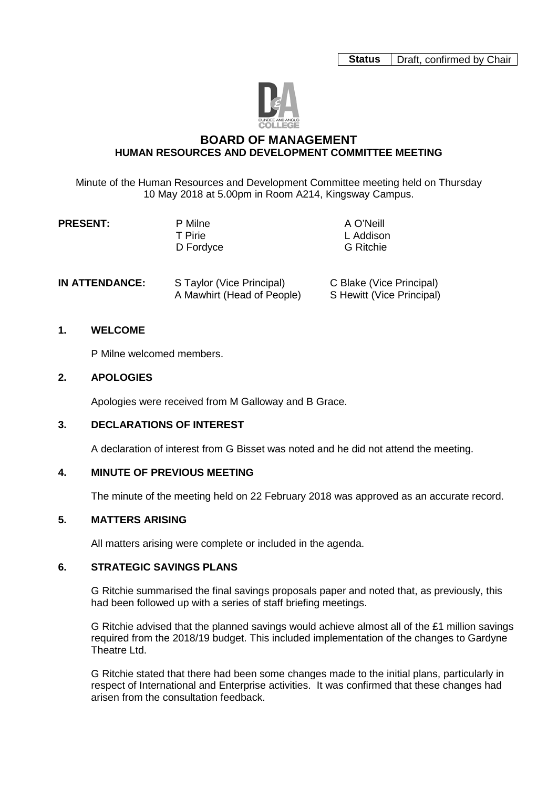

#### **BOARD OF MANAGEMENT HUMAN RESOURCES AND DEVELOPMENT COMMITTEE MEETING**

Minute of the Human Resources and Development Committee meeting held on Thursday 10 May 2018 at 5.00pm in Room A214, Kingsway Campus.

| <b>PRESENT:</b> | P Milne   | A O'Neill        |  |
|-----------------|-----------|------------------|--|
|                 |           |                  |  |
|                 | T Pirie   | L Addison        |  |
|                 | D Fordyce | <b>G</b> Ritchie |  |
|                 |           |                  |  |

| <b>IN ATTENDANCE:</b> | S Taylor (Vice Principal)  | C Blake (Vice Principal)  |
|-----------------------|----------------------------|---------------------------|
|                       | A Mawhirt (Head of People) | S Hewitt (Vice Principal) |

#### **1. WELCOME**

P Milne welcomed members.

#### **2. APOLOGIES**

Apologies were received from M Galloway and B Grace.

#### **3. DECLARATIONS OF INTEREST**

A declaration of interest from G Bisset was noted and he did not attend the meeting.

#### **4. MINUTE OF PREVIOUS MEETING**

The minute of the meeting held on 22 February 2018 was approved as an accurate record.

#### **5. MATTERS ARISING**

All matters arising were complete or included in the agenda.

#### **6. STRATEGIC SAVINGS PLANS**

G Ritchie summarised the final savings proposals paper and noted that, as previously, this had been followed up with a series of staff briefing meetings.

G Ritchie advised that the planned savings would achieve almost all of the £1 million savings required from the 2018/19 budget. This included implementation of the changes to Gardyne Theatre Ltd.

G Ritchie stated that there had been some changes made to the initial plans, particularly in respect of International and Enterprise activities. It was confirmed that these changes had arisen from the consultation feedback.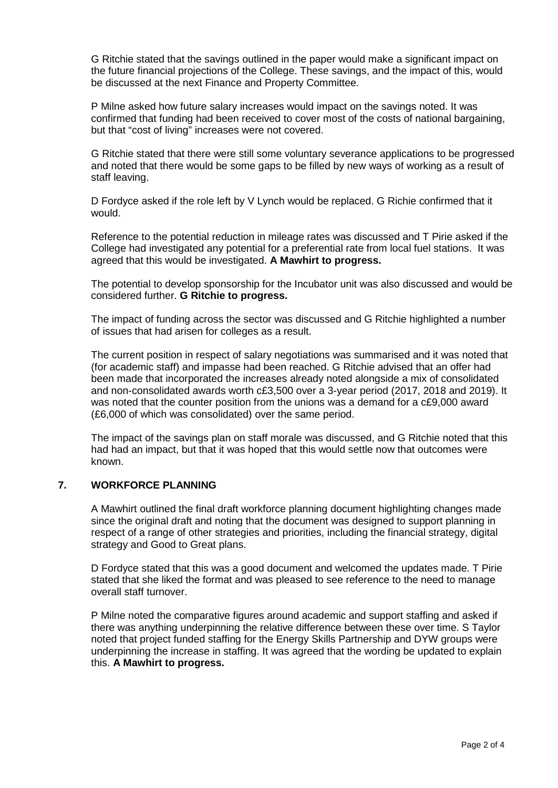G Ritchie stated that the savings outlined in the paper would make a significant impact on the future financial projections of the College. These savings, and the impact of this, would be discussed at the next Finance and Property Committee.

P Milne asked how future salary increases would impact on the savings noted. It was confirmed that funding had been received to cover most of the costs of national bargaining, but that "cost of living" increases were not covered.

G Ritchie stated that there were still some voluntary severance applications to be progressed and noted that there would be some gaps to be filled by new ways of working as a result of staff leaving.

D Fordyce asked if the role left by V Lynch would be replaced. G Richie confirmed that it would.

Reference to the potential reduction in mileage rates was discussed and T Pirie asked if the College had investigated any potential for a preferential rate from local fuel stations. It was agreed that this would be investigated. **A Mawhirt to progress.**

The potential to develop sponsorship for the Incubator unit was also discussed and would be considered further. **G Ritchie to progress.**

The impact of funding across the sector was discussed and G Ritchie highlighted a number of issues that had arisen for colleges as a result.

The current position in respect of salary negotiations was summarised and it was noted that (for academic staff) and impasse had been reached. G Ritchie advised that an offer had been made that incorporated the increases already noted alongside a mix of consolidated and non-consolidated awards worth c£3,500 over a 3-year period (2017, 2018 and 2019). It was noted that the counter position from the unions was a demand for a c£9,000 award (£6,000 of which was consolidated) over the same period.

The impact of the savings plan on staff morale was discussed, and G Ritchie noted that this had had an impact, but that it was hoped that this would settle now that outcomes were known.

#### **7. WORKFORCE PLANNING**

A Mawhirt outlined the final draft workforce planning document highlighting changes made since the original draft and noting that the document was designed to support planning in respect of a range of other strategies and priorities, including the financial strategy, digital strategy and Good to Great plans.

D Fordyce stated that this was a good document and welcomed the updates made. T Pirie stated that she liked the format and was pleased to see reference to the need to manage overall staff turnover.

P Milne noted the comparative figures around academic and support staffing and asked if there was anything underpinning the relative difference between these over time. S Taylor noted that project funded staffing for the Energy Skills Partnership and DYW groups were underpinning the increase in staffing. It was agreed that the wording be updated to explain this. **A Mawhirt to progress.**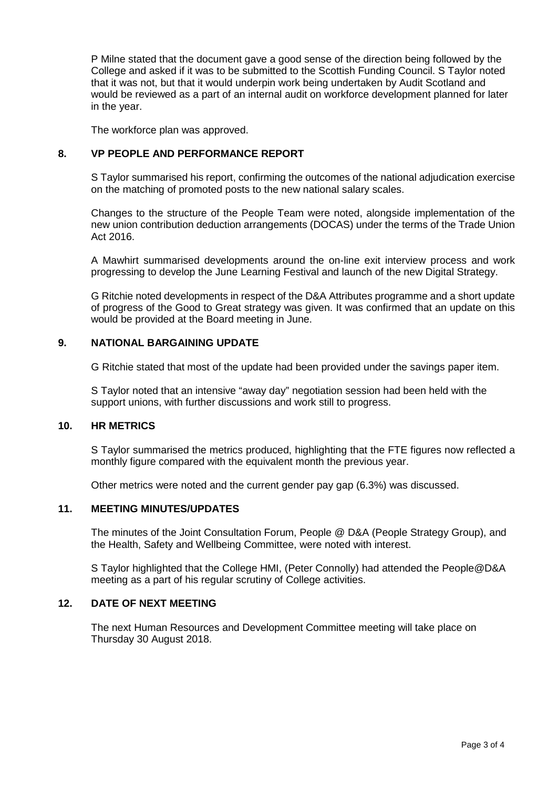P Milne stated that the document gave a good sense of the direction being followed by the College and asked if it was to be submitted to the Scottish Funding Council. S Taylor noted that it was not, but that it would underpin work being undertaken by Audit Scotland and would be reviewed as a part of an internal audit on workforce development planned for later in the year.

The workforce plan was approved.

#### **8. VP PEOPLE AND PERFORMANCE REPORT**

S Taylor summarised his report, confirming the outcomes of the national adjudication exercise on the matching of promoted posts to the new national salary scales.

Changes to the structure of the People Team were noted, alongside implementation of the new union contribution deduction arrangements (DOCAS) under the terms of the Trade Union Act 2016.

A Mawhirt summarised developments around the on-line exit interview process and work progressing to develop the June Learning Festival and launch of the new Digital Strategy.

G Ritchie noted developments in respect of the D&A Attributes programme and a short update of progress of the Good to Great strategy was given. It was confirmed that an update on this would be provided at the Board meeting in June.

#### **9. NATIONAL BARGAINING UPDATE**

G Ritchie stated that most of the update had been provided under the savings paper item.

S Taylor noted that an intensive "away day" negotiation session had been held with the support unions, with further discussions and work still to progress.

#### **10. HR METRICS**

S Taylor summarised the metrics produced, highlighting that the FTE figures now reflected a monthly figure compared with the equivalent month the previous year.

Other metrics were noted and the current gender pay gap (6.3%) was discussed.

#### **11. MEETING MINUTES/UPDATES**

The minutes of the Joint Consultation Forum, People @ D&A (People Strategy Group), and the Health, Safety and Wellbeing Committee, were noted with interest.

S Taylor highlighted that the College HMI, (Peter Connolly) had attended the People@D&A meeting as a part of his regular scrutiny of College activities.

#### **12. DATE OF NEXT MEETING**

The next Human Resources and Development Committee meeting will take place on Thursday 30 August 2018.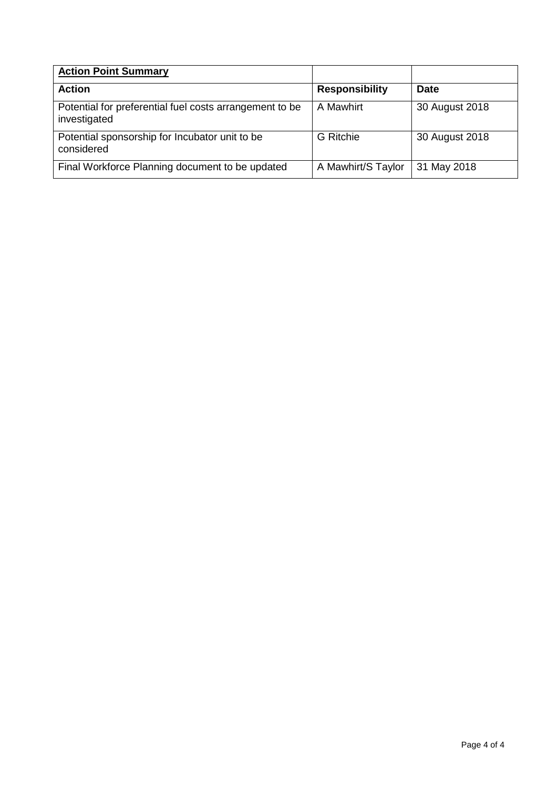| <b>Action Point Summary</b>                                             |                       |                |
|-------------------------------------------------------------------------|-----------------------|----------------|
| <b>Action</b>                                                           | <b>Responsibility</b> | <b>Date</b>    |
| Potential for preferential fuel costs arrangement to be<br>investigated | A Mawhirt             | 30 August 2018 |
| Potential sponsorship for Incubator unit to be<br>considered            | <b>G</b> Ritchie      | 30 August 2018 |
| Final Workforce Planning document to be updated                         | A Mawhirt/S Taylor    | 31 May 2018    |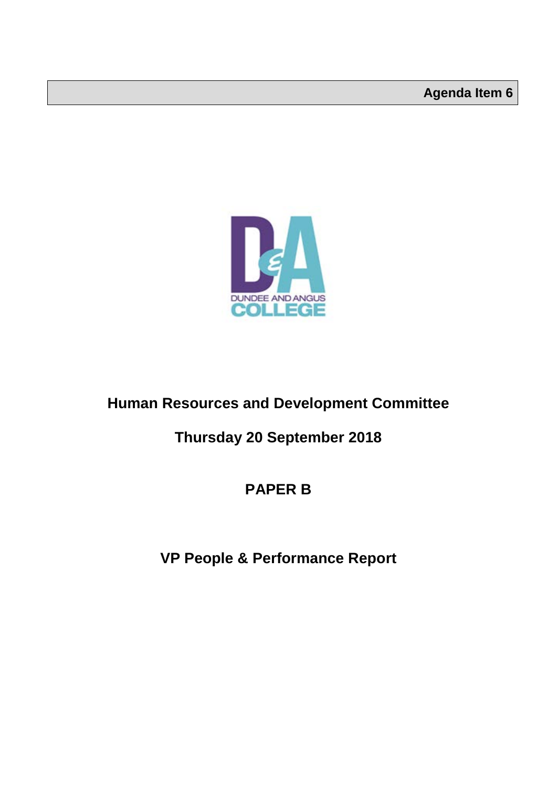

### **Human Resources and Development Committee**

### **Thursday 20 September 2018**

### **PAPER B**

### **VP People & Performance Report**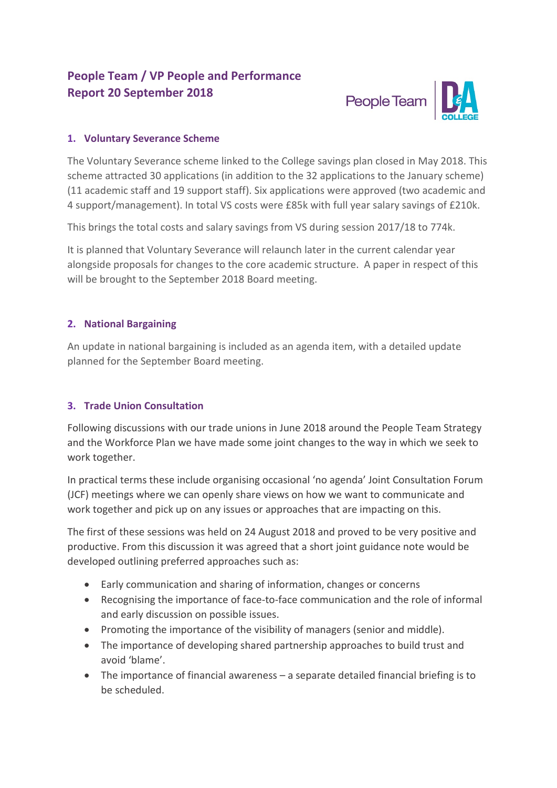### **People Team / VP People and Performance Report 20 September 2018**



#### **1. Voluntary Severance Scheme**

The Voluntary Severance scheme linked to the College savings plan closed in May 2018. This scheme attracted 30 applications (in addition to the 32 applications to the January scheme) (11 academic staff and 19 support staff). Six applications were approved (two academic and 4 support/management). In total VS costs were £85k with full year salary savings of £210k.

This brings the total costs and salary savings from VS during session 2017/18 to 774k.

It is planned that Voluntary Severance will relaunch later in the current calendar year alongside proposals for changes to the core academic structure. A paper in respect of this will be brought to the September 2018 Board meeting.

#### **2. National Bargaining**

An update in national bargaining is included as an agenda item, with a detailed update planned for the September Board meeting.

#### **3. Trade Union Consultation**

Following discussions with our trade unions in June 2018 around the People Team Strategy and the Workforce Plan we have made some joint changes to the way in which we seek to work together.

In practical terms these include organising occasional 'no agenda' Joint Consultation Forum (JCF) meetings where we can openly share views on how we want to communicate and work together and pick up on any issues or approaches that are impacting on this.

The first of these sessions was held on 24 August 2018 and proved to be very positive and productive. From this discussion it was agreed that a short joint guidance note would be developed outlining preferred approaches such as:

- Early communication and sharing of information, changes or concerns
- Recognising the importance of face-to-face communication and the role of informal and early discussion on possible issues.
- Promoting the importance of the visibility of managers (senior and middle).
- The importance of developing shared partnership approaches to build trust and avoid 'blame'.
- The importance of financial awareness a separate detailed financial briefing is to be scheduled.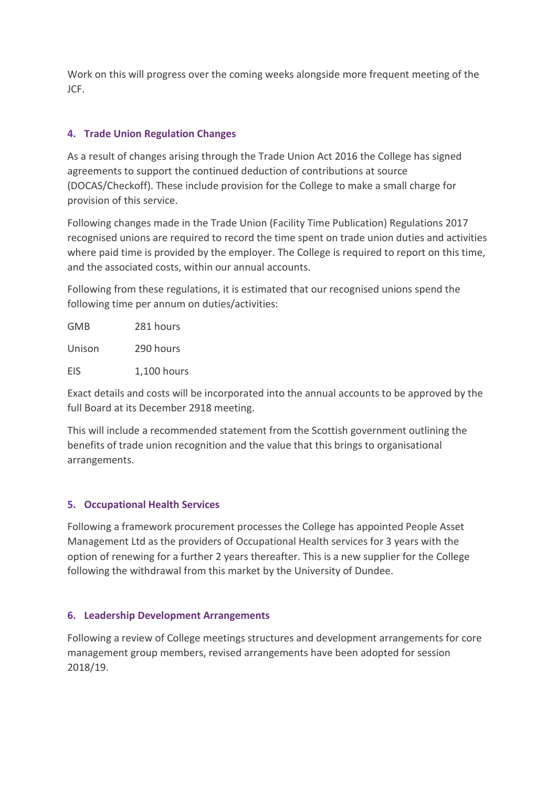Work on this will progress over the coming weeks alongside more frequent meeting of the JCF.

#### **4. Trade Union Regulation Changes**

As a result of changes arising through the Trade Union Act 2016 the College has signed agreements to support the continued deduction of contributions at source (DOCAS/Checkoff). These include provision for the College to make a small charge for provision of this service.

Following changes made in the Trade Union (Facility Time Publication) Regulations 2017 recognised unions are required to record the time spent on trade union duties and activities where paid time is provided by the employer. The College is required to report on this time, and the associated costs, within our annual accounts.

Following from these regulations, it is estimated that our recognised unions spend the following time per annum on duties/activities:

| GMB    | 281 hours   |
|--------|-------------|
| Unison | 290 hours   |
| EIS    | 1,100 hours |

Exact details and costs will be incorporated into the annual accounts to be approved by the full Board at its December 2918 meeting.

This will include a recommended statement from the Scottish government outlining the benefits of trade union recognition and the value that this brings to organisational arrangements.

#### **5. Occupational Health Services**

Following a framework procurement processes the College has appointed People Asset Management Ltd as the providers of Occupational Health services for 3 years with the option of renewing for a further 2 years thereafter. This is a new supplier for the College following the withdrawal from this market by the University of Dundee.

#### **6. Leadership Development Arrangements**

Following a review of College meetings structures and development arrangements for core management group members, revised arrangements have been adopted for session 2018/19.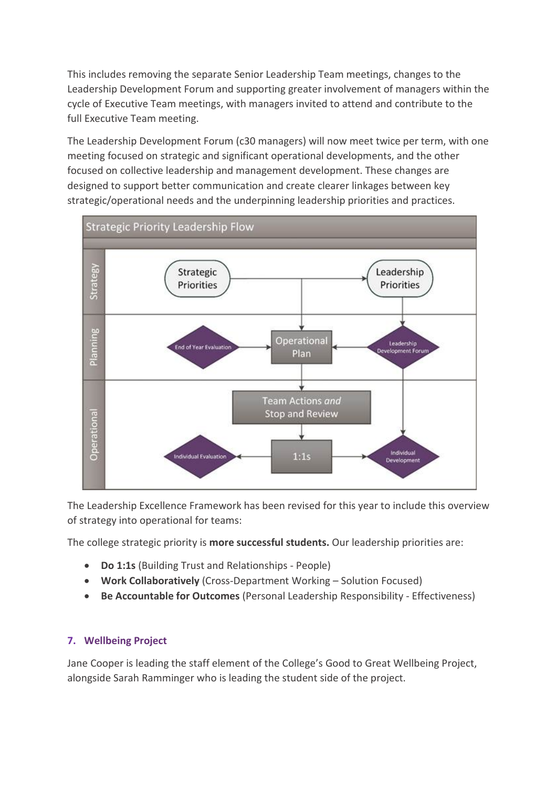This includes removing the separate Senior Leadership Team meetings, changes to the Leadership Development Forum and supporting greater involvement of managers within the cycle of Executive Team meetings, with managers invited to attend and contribute to the full Executive Team meeting.

The Leadership Development Forum (c30 managers) will now meet twice per term, with one meeting focused on strategic and significant operational developments, and the other focused on collective leadership and management development. These changes are designed to support better communication and create clearer linkages between key strategic/operational needs and the underpinning leadership priorities and practices.



The Leadership Excellence Framework has been revised for this year to include this overview of strategy into operational for teams:

The college strategic priority is **more successful students.** Our leadership priorities are:

- **Do 1:1s** (Building Trust and Relationships People)
- **Work Collaboratively** (Cross-Department Working Solution Focused)
- **Be Accountable for Outcomes** (Personal Leadership Responsibility Effectiveness)

#### **7. Wellbeing Project**

Jane Cooper is leading the staff element of the College's Good to Great Wellbeing Project, alongside Sarah Ramminger who is leading the student side of the project.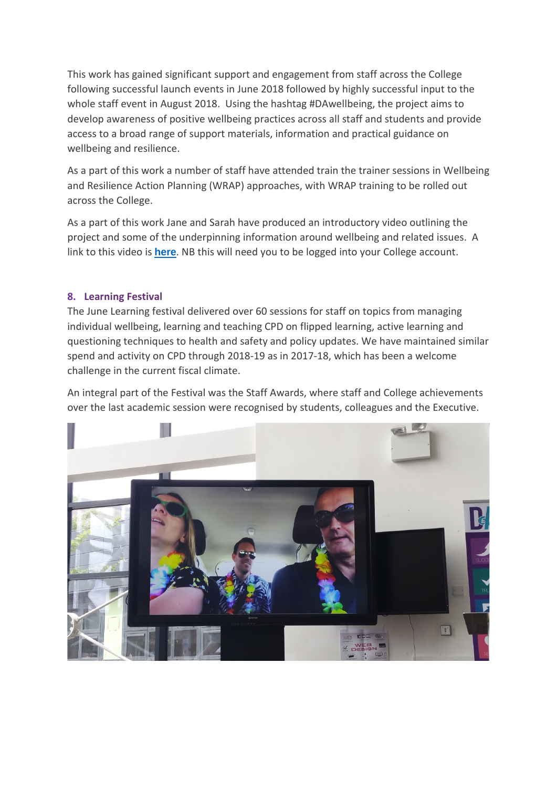This work has gained significant support and engagement from staff across the College following successful launch events in June 2018 followed by highly successful input to the whole staff event in August 2018. Using the hashtag #DAwellbeing, the project aims to develop awareness of positive wellbeing practices across all staff and students and provide access to a broad range of support materials, information and practical guidance on wellbeing and resilience.

As a part of this work a number of staff have attended train the trainer sessions in Wellbeing and Resilience Action Planning (WRAP) approaches, with WRAP training to be rolled out across the College.

As a part of this work Jane and Sarah have produced an introductory video outlining the project and some of the underpinning information around wellbeing and related issues. A link to this video is **[here](http://staffportal.dundeeandangus.ac.uk/estates/hs/hw/PublishingImages/Lists/HWL%20Announcements/AllItems/Final%20Entire%20wellbeing%20Movie/Final%20Entire%20wellbeing%20Movie.mp4)**. NB this will need you to be logged into your College account.

#### **8. Learning Festival**

The June Learning festival delivered over 60 sessions for staff on topics from managing individual wellbeing, learning and teaching CPD on flipped learning, active learning and questioning techniques to health and safety and policy updates. We have maintained similar spend and activity on CPD through 2018-19 as in 2017-18, which has been a welcome challenge in the current fiscal climate.

An integral part of the Festival was the Staff Awards, where staff and College achievements over the last academic session were recognised by students, colleagues and the Executive.

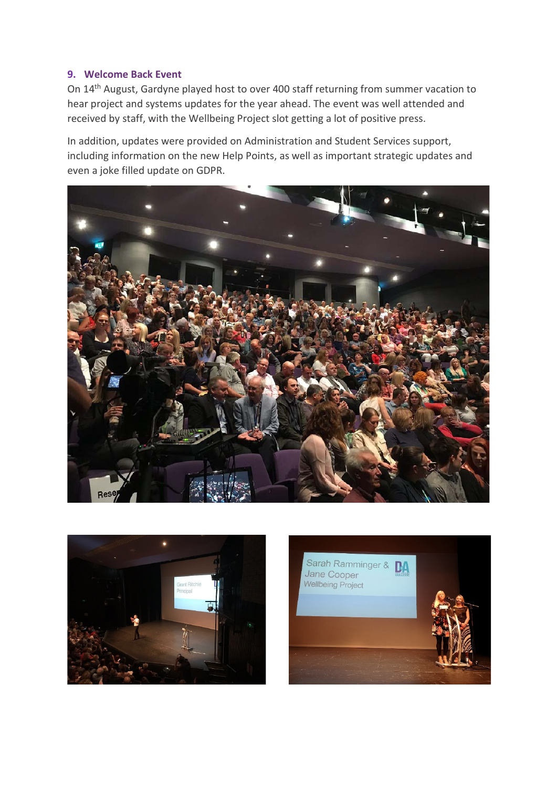#### **9. Welcome Back Event**

On 14th August, Gardyne played host to over 400 staff returning from summer vacation to hear project and systems updates for the year ahead. The event was well attended and received by staff, with the Wellbeing Project slot getting a lot of positive press.

In addition, updates were provided on Administration and Student Services support, including information on the new Help Points, as well as important strategic updates and even a joke filled update on GDPR.





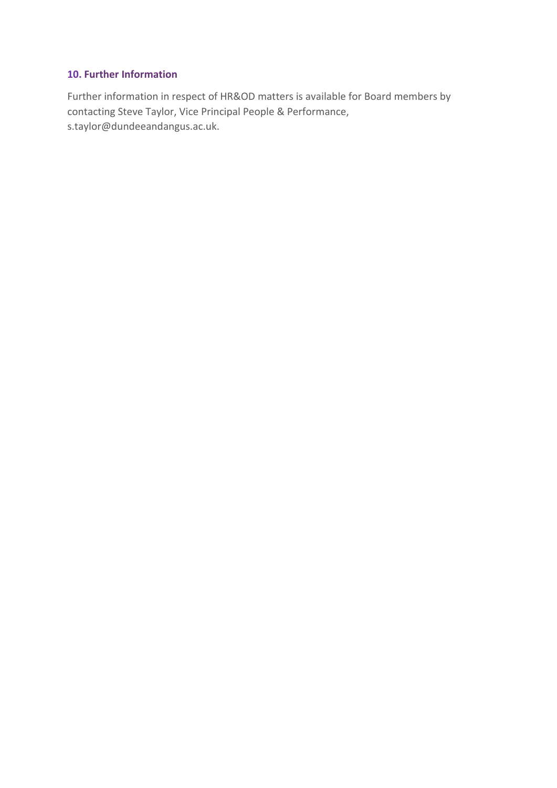#### **10. Further Information**

Further information in respect of HR&OD matters is available for Board members by contacting Steve Taylor, Vice Principal People & Performance, s.taylor@dundeeandangus.ac.uk.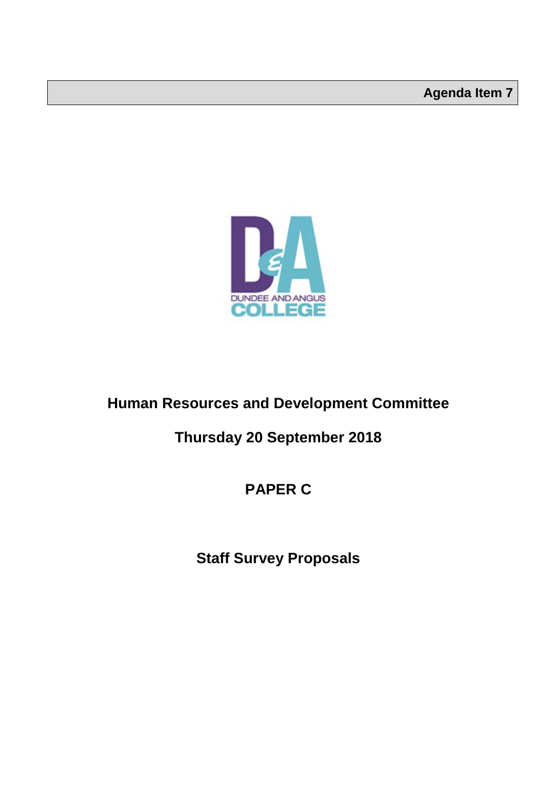

### **Human Resources and Development Committee**

### **Thursday 20 September 2018**

### **PAPER C**

## **Staff Survey Proposals**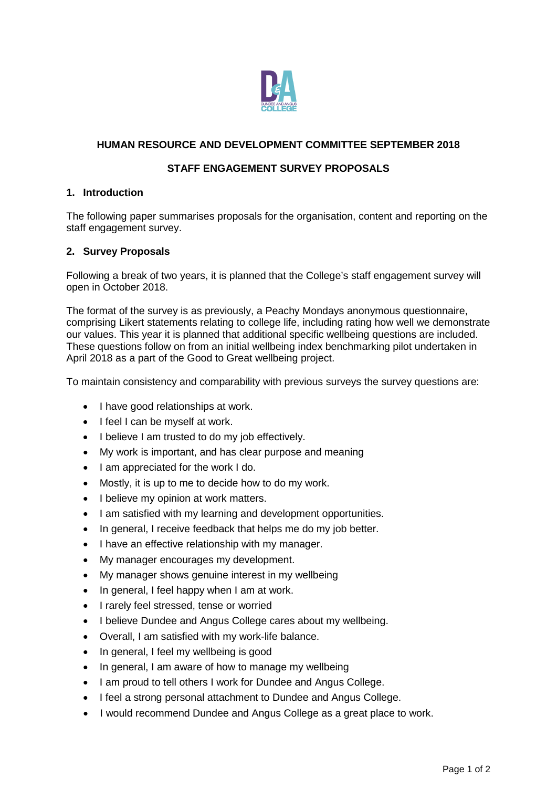

#### **HUMAN RESOURCE AND DEVELOPMENT COMMITTEE SEPTEMBER 2018**

#### **STAFF ENGAGEMENT SURVEY PROPOSALS**

#### **1. Introduction**

The following paper summarises proposals for the organisation, content and reporting on the staff engagement survey.

#### **2. Survey Proposals**

Following a break of two years, it is planned that the College's staff engagement survey will open in October 2018.

The format of the survey is as previously, a Peachy Mondays anonymous questionnaire, comprising Likert statements relating to college life, including rating how well we demonstrate our values. This year it is planned that additional specific wellbeing questions are included. These questions follow on from an initial wellbeing index benchmarking pilot undertaken in April 2018 as a part of the Good to Great wellbeing project.

To maintain consistency and comparability with previous surveys the survey questions are:

- I have good relationships at work.
- I feel I can be myself at work.
- I believe I am trusted to do my job effectively.
- My work is important, and has clear purpose and meaning
- I am appreciated for the work I do.
- Mostly, it is up to me to decide how to do my work.
- I believe my opinion at work matters.
- I am satisfied with my learning and development opportunities.
- In general, I receive feedback that helps me do my job better.
- I have an effective relationship with my manager.
- My manager encourages my development.
- My manager shows genuine interest in my wellbeing
- In general, I feel happy when I am at work.
- I rarely feel stressed, tense or worried
- I believe Dundee and Angus College cares about my wellbeing.
- Overall, I am satisfied with my work-life balance.
- In general, I feel my wellbeing is good
- In general, I am aware of how to manage my wellbeing
- I am proud to tell others I work for Dundee and Angus College.
- I feel a strong personal attachment to Dundee and Angus College.
- I would recommend Dundee and Angus College as a great place to work.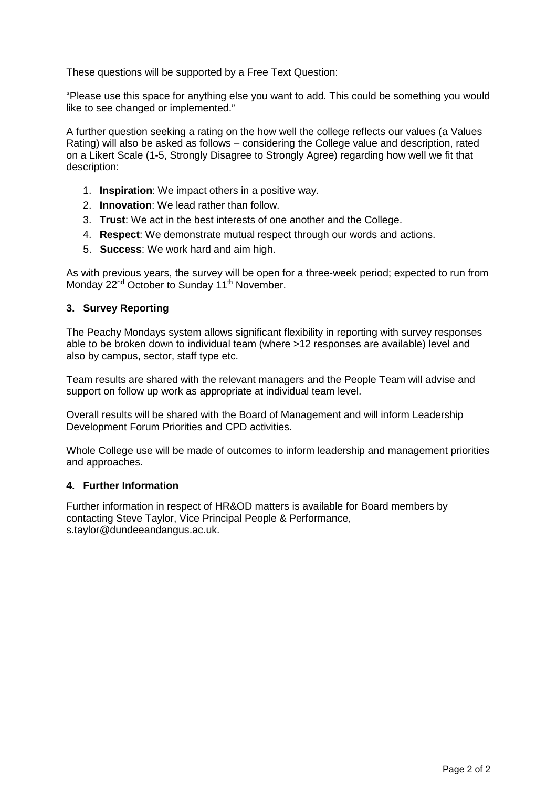These questions will be supported by a Free Text Question:

"Please use this space for anything else you want to add. This could be something you would like to see changed or implemented."

A further question seeking a rating on the how well the college reflects our values (a Values Rating) will also be asked as follows – considering the College value and description, rated on a Likert Scale (1-5, Strongly Disagree to Strongly Agree) regarding how well we fit that description:

- 1. **Inspiration**: We impact others in a positive way.
- 2. **Innovation**: We lead rather than follow.
- 3. **Trust**: We act in the best interests of one another and the College.
- 4. **Respect**: We demonstrate mutual respect through our words and actions.
- 5. **Success**: We work hard and aim high.

As with previous years, the survey will be open for a three-week period; expected to run from Monday 22<sup>nd</sup> October to Sunday 11<sup>th</sup> November.

#### **3. Survey Reporting**

The Peachy Mondays system allows significant flexibility in reporting with survey responses able to be broken down to individual team (where >12 responses are available) level and also by campus, sector, staff type etc.

Team results are shared with the relevant managers and the People Team will advise and support on follow up work as appropriate at individual team level.

Overall results will be shared with the Board of Management and will inform Leadership Development Forum Priorities and CPD activities.

Whole College use will be made of outcomes to inform leadership and management priorities and approaches.

#### **4. Further Information**

Further information in respect of HR&OD matters is available for Board members by contacting Steve Taylor, Vice Principal People & Performance, s.taylor@dundeeandangus.ac.uk.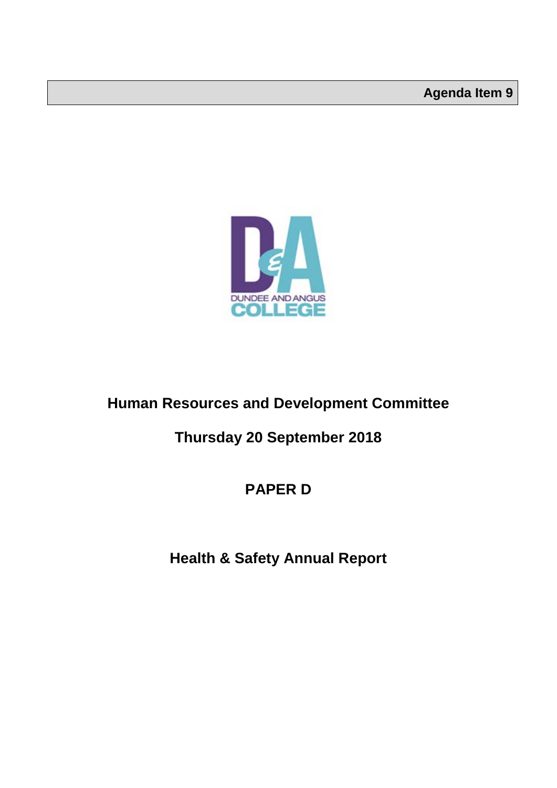

### **Human Resources and Development Committee**

### **Thursday 20 September 2018**

### **PAPER D**

### **Health & Safety Annual Report**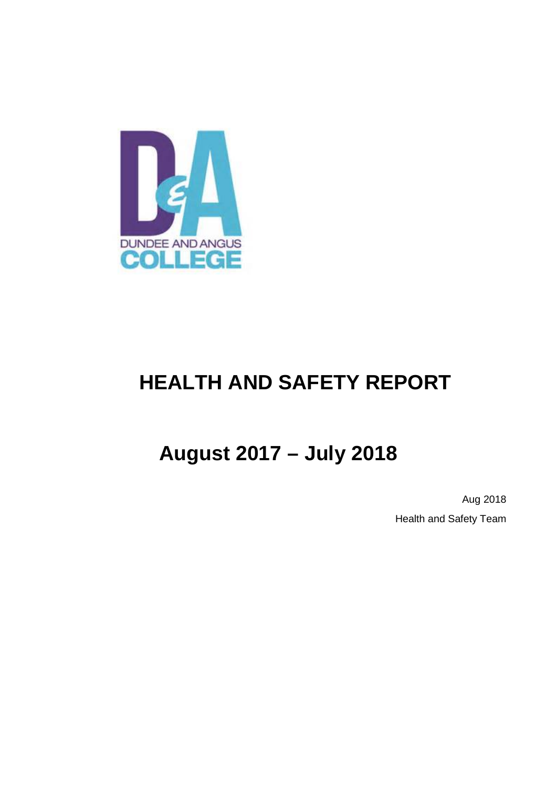

# **HEALTH AND SAFETY REPORT**

# **August 2017 – July 2018**

Aug 2018 Health and Safety Team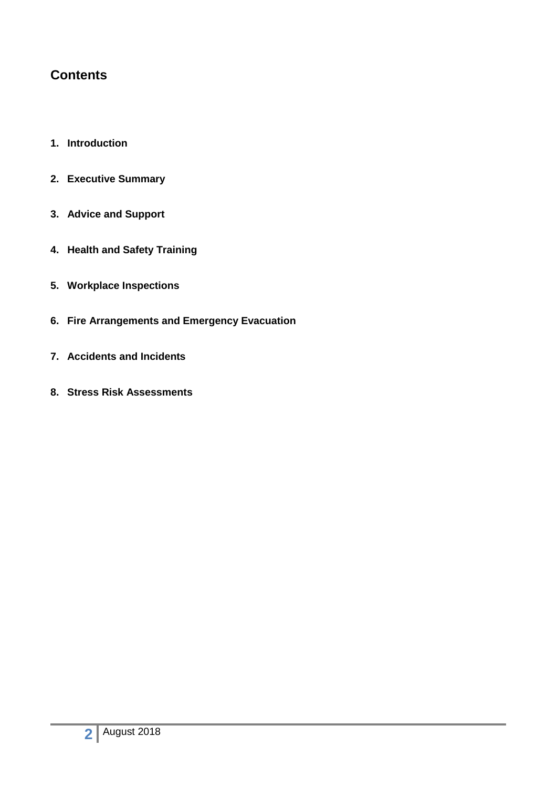### **Contents**

- **1. Introduction**
- **2. Executive Summary**
- **3. Advice and Support**
- **4. Health and Safety Training**
- **5. Workplace Inspections**
- **6. Fire Arrangements and Emergency Evacuation**
- **7. Accidents and Incidents**
- **8. Stress Risk Assessments**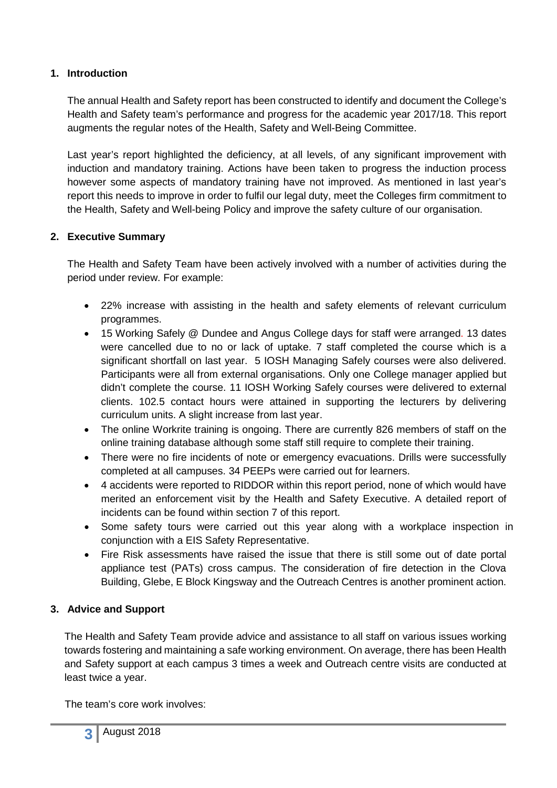#### **1. Introduction**

The annual Health and Safety report has been constructed to identify and document the College's Health and Safety team's performance and progress for the academic year 2017/18. This report augments the regular notes of the Health, Safety and Well-Being Committee.

Last year's report highlighted the deficiency, at all levels, of any significant improvement with induction and mandatory training. Actions have been taken to progress the induction process however some aspects of mandatory training have not improved. As mentioned in last year's report this needs to improve in order to fulfil our legal duty, meet the Colleges firm commitment to the Health, Safety and Well-being Policy and improve the safety culture of our organisation.

#### **2. Executive Summary**

The Health and Safety Team have been actively involved with a number of activities during the period under review. For example:

- 22% increase with assisting in the health and safety elements of relevant curriculum programmes.
- 15 Working Safely @ Dundee and Angus College days for staff were arranged. 13 dates were cancelled due to no or lack of uptake. 7 staff completed the course which is a significant shortfall on last year. 5 IOSH Managing Safely courses were also delivered. Participants were all from external organisations. Only one College manager applied but didn't complete the course. 11 IOSH Working Safely courses were delivered to external clients. 102.5 contact hours were attained in supporting the lecturers by delivering curriculum units. A slight increase from last year.
- The online Workrite training is ongoing. There are currently 826 members of staff on the online training database although some staff still require to complete their training.
- There were no fire incidents of note or emergency evacuations. Drills were successfully completed at all campuses. 34 PEEPs were carried out for learners.
- 4 accidents were reported to RIDDOR within this report period, none of which would have merited an enforcement visit by the Health and Safety Executive. A detailed report of incidents can be found within section 7 of this report.
- Some safety tours were carried out this year along with a workplace inspection in conjunction with a EIS Safety Representative.
- Fire Risk assessments have raised the issue that there is still some out of date portal appliance test (PATs) cross campus. The consideration of fire detection in the Clova Building, Glebe, E Block Kingsway and the Outreach Centres is another prominent action.

#### **3. Advice and Support**

The Health and Safety Team provide advice and assistance to all staff on various issues working towards fostering and maintaining a safe working environment. On average, there has been Health and Safety support at each campus 3 times a week and Outreach centre visits are conducted at least twice a year.

The team's core work involves: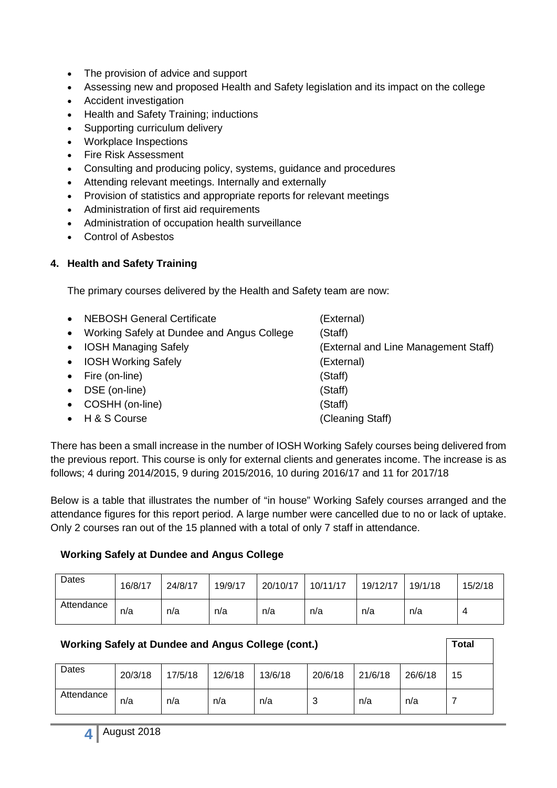- The provision of advice and support
- Assessing new and proposed Health and Safety legislation and its impact on the college
- Accident investigation
- Health and Safety Training; inductions
- Supporting curriculum delivery
- Workplace Inspections
- Fire Risk Assessment
- Consulting and producing policy, systems, guidance and procedures
- Attending relevant meetings. Internally and externally
- Provision of statistics and appropriate reports for relevant meetings
- Administration of first aid requirements
- Administration of occupation health surveillance
- Control of Asbestos

#### **4. Health and Safety Training**

The primary courses delivered by the Health and Safety team are now:

| $\bullet$ | <b>NEBOSH General Certificate</b>            | (External)                           |
|-----------|----------------------------------------------|--------------------------------------|
|           | • Working Safely at Dundee and Angus College | (Staff)                              |
|           | • IOSH Managing Safely                       | (External and Line Management Staff) |
|           | • IOSH Working Safely                        | (External)                           |
|           | • Fire (on-line)                             | (Staff)                              |
|           | • DSE (on-line)                              | (Staff)                              |
|           | • COSHH (on-line)                            | (Staff)                              |
|           | • H & S Course                               | (Cleaning Staff)                     |

There has been a small increase in the number of IOSH Working Safely courses being delivered from the previous report. This course is only for external clients and generates income. The increase is as follows; 4 during 2014/2015, 9 during 2015/2016, 10 during 2016/17 and 11 for 2017/18

Below is a table that illustrates the number of "in house" Working Safely courses arranged and the attendance figures for this report period. A large number were cancelled due to no or lack of uptake. Only 2 courses ran out of the 15 planned with a total of only 7 staff in attendance.

#### **Working Safely at Dundee and Angus College**

| Dates      | 16/8/17 | 24/8/17 | 19/9/17 | 20/10/17 | 10/11/17 | 19/12/17 | 19/1/18 | 15/2/18 |
|------------|---------|---------|---------|----------|----------|----------|---------|---------|
| Attendance | n/a     | n/a     | n/a     | n/a      | n/a      | n/a      | n/a     | 4       |

| <b>Working Safely at Dundee and Angus College (cont.)</b> |         |         |         |         |         |         |         | Total |
|-----------------------------------------------------------|---------|---------|---------|---------|---------|---------|---------|-------|
| Dates                                                     | 20/3/18 | 17/5/18 | 12/6/18 | 13/6/18 | 20/6/18 | 21/6/18 | 26/6/18 | 15    |
| Attendance                                                | n/a     | n/a     | n/a     | n/a     | 3       | n/a     | n/a     |       |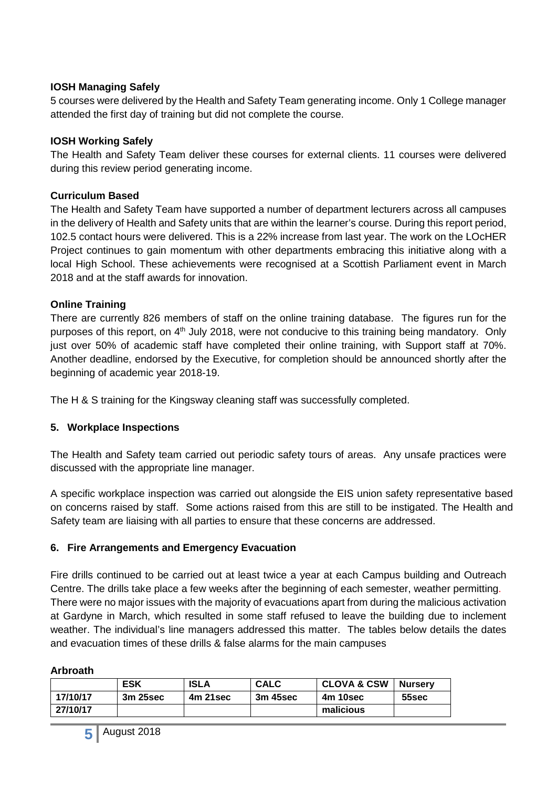#### **IOSH Managing Safely**

5 courses were delivered by the Health and Safety Team generating income. Only 1 College manager attended the first day of training but did not complete the course.

#### **IOSH Working Safely**

The Health and Safety Team deliver these courses for external clients. 11 courses were delivered during this review period generating income.

#### **Curriculum Based**

The Health and Safety Team have supported a number of department lecturers across all campuses in the delivery of Health and Safety units that are within the learner's course. During this report period, 102.5 contact hours were delivered. This is a 22% increase from last year. The work on the LOcHER Project continues to gain momentum with other departments embracing this initiative along with a local High School. These achievements were recognised at a Scottish Parliament event in March 2018 and at the staff awards for innovation.

#### **Online Training**

There are currently 826 members of staff on the online training database. The figures run for the purposes of this report, on 4<sup>th</sup> July 2018, were not conducive to this training being mandatory. Only just over 50% of academic staff have completed their online training, with Support staff at 70%. Another deadline, endorsed by the Executive, for completion should be announced shortly after the beginning of academic year 2018-19.

The H & S training for the Kingsway cleaning staff was successfully completed.

#### **5. Workplace Inspections**

The Health and Safety team carried out periodic safety tours of areas. Any unsafe practices were discussed with the appropriate line manager.

A specific workplace inspection was carried out alongside the EIS union safety representative based on concerns raised by staff. Some actions raised from this are still to be instigated. The Health and Safety team are liaising with all parties to ensure that these concerns are addressed.

#### **6. Fire Arrangements and Emergency Evacuation**

Fire drills continued to be carried out at least twice a year at each Campus building and Outreach Centre. The drills take place a few weeks after the beginning of each semester, weather permitting. There were no major issues with the majority of evacuations apart from during the malicious activation at Gardyne in March, which resulted in some staff refused to leave the building due to inclement weather. The individual's line managers addressed this matter. The tables below details the dates and evacuation times of these drills & false alarms for the main campuses

#### **Arbroath**

|          | <b>ESK</b> | <b>ISLA</b> | <b>CALC</b> | <b>CLOVA &amp; CSW</b> | <b>Nurserv</b> |
|----------|------------|-------------|-------------|------------------------|----------------|
| 17/10/17 | 3m 25sec   | 4m 21sec    | 3m 45sec    | 4m 10sec               | 55sec          |
| 27/10/17 |            |             |             | malicious              |                |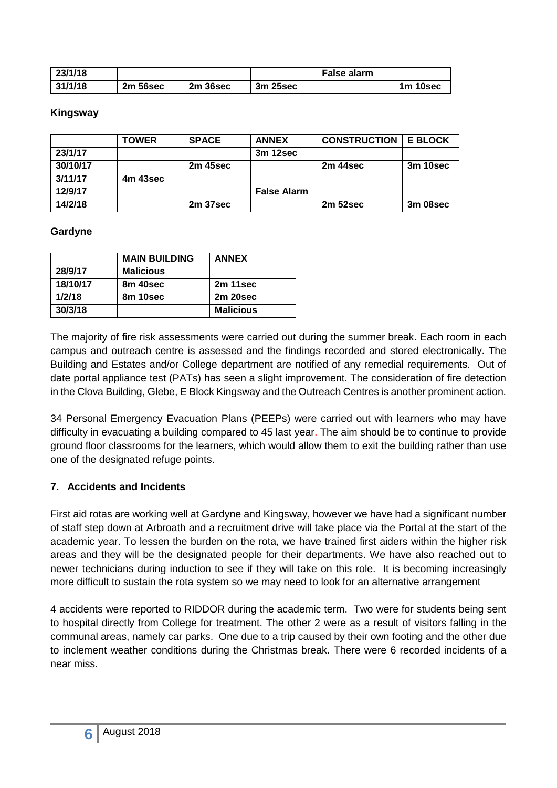| 23/1/18 |          |          |          | <b>False alarm</b> |          |
|---------|----------|----------|----------|--------------------|----------|
| 31/1/18 | 2m 56sec | 2m 36sec | 3m 25sec |                    | 1m 10sec |

#### **Kingsway**

|          | <b>TOWER</b> | <b>SPACE</b> | <b>ANNEX</b>       | <b>CONSTRUCTION</b> | <b>E BLOCK</b> |
|----------|--------------|--------------|--------------------|---------------------|----------------|
| 23/1/17  |              |              | 3m 12sec           |                     |                |
| 30/10/17 |              | 2m 45sec     |                    | 2m 44sec            | 3m 10sec       |
| 3/11/17  | 4m 43sec     |              |                    |                     |                |
| 12/9/17  |              |              | <b>False Alarm</b> |                     |                |
| 14/2/18  |              | 2m 37sec     |                    | 2m 52sec            | 3m 08sec       |

#### **Gardyne**

|          | <b>MAIN BUILDING</b> | <b>ANNEX</b>     |
|----------|----------------------|------------------|
| 28/9/17  | <b>Malicious</b>     |                  |
| 18/10/17 | 8m 40sec             | 2m 11sec         |
| 1/2/18   | 8m 10sec             | 2m 20sec         |
| 30/3/18  |                      | <b>Malicious</b> |

The majority of fire risk assessments were carried out during the summer break. Each room in each campus and outreach centre is assessed and the findings recorded and stored electronically. The Building and Estates and/or College department are notified of any remedial requirements. Out of date portal appliance test (PATs) has seen a slight improvement. The consideration of fire detection in the Clova Building, Glebe, E Block Kingsway and the Outreach Centres is another prominent action.

34 Personal Emergency Evacuation Plans (PEEPs) were carried out with learners who may have difficulty in evacuating a building compared to 45 last year. The aim should be to continue to provide ground floor classrooms for the learners, which would allow them to exit the building rather than use one of the designated refuge points.

#### **7. Accidents and Incidents**

First aid rotas are working well at Gardyne and Kingsway, however we have had a significant number of staff step down at Arbroath and a recruitment drive will take place via the Portal at the start of the academic year. To lessen the burden on the rota, we have trained first aiders within the higher risk areas and they will be the designated people for their departments. We have also reached out to newer technicians during induction to see if they will take on this role. It is becoming increasingly more difficult to sustain the rota system so we may need to look for an alternative arrangement

4 accidents were reported to RIDDOR during the academic term. Two were for students being sent to hospital directly from College for treatment. The other 2 were as a result of visitors falling in the communal areas, namely car parks. One due to a trip caused by their own footing and the other due to inclement weather conditions during the Christmas break. There were 6 recorded incidents of a near miss.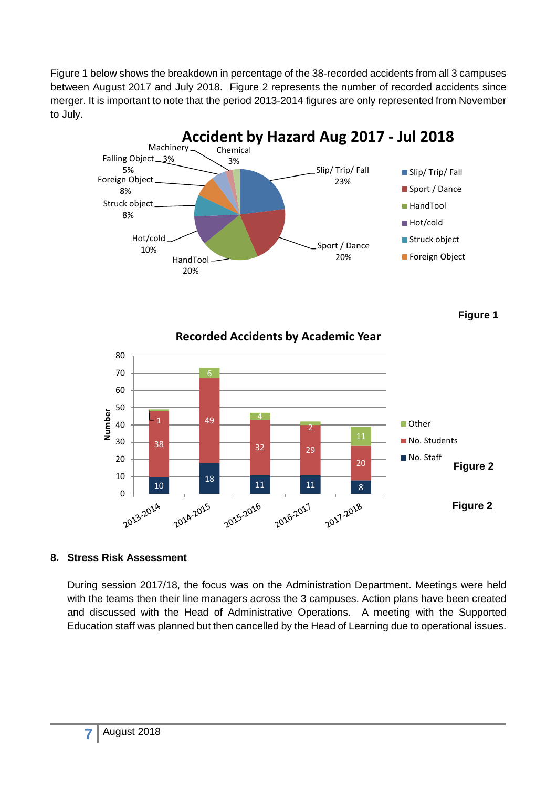Figure 1 below shows the breakdown in percentage of the 38-recorded accidents from all 3 campuses between August 2017 and July 2018. Figure 2 represents the number of recorded accidents since merger. It is important to note that the period 2013-2014 figures are only represented from November to July.



**Figure 1**



#### **8. Stress Risk Assessment**

During session 2017/18, the focus was on the Administration Department. Meetings were held with the teams then their line managers across the 3 campuses. Action plans have been created and discussed with the Head of Administrative Operations. A meeting with the Supported Education staff was planned but then cancelled by the Head of Learning due to operational issues.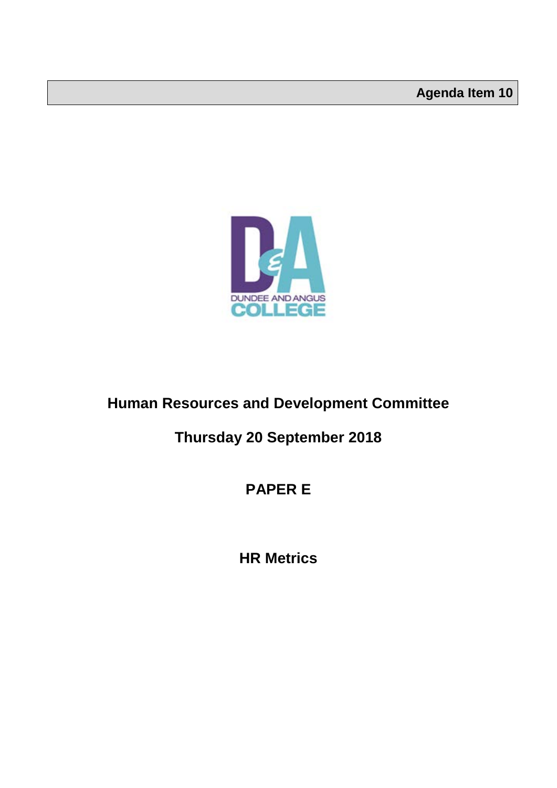

### **Human Resources and Development Committee**

### **Thursday 20 September 2018**

### **PAPER E**

**HR Metrics**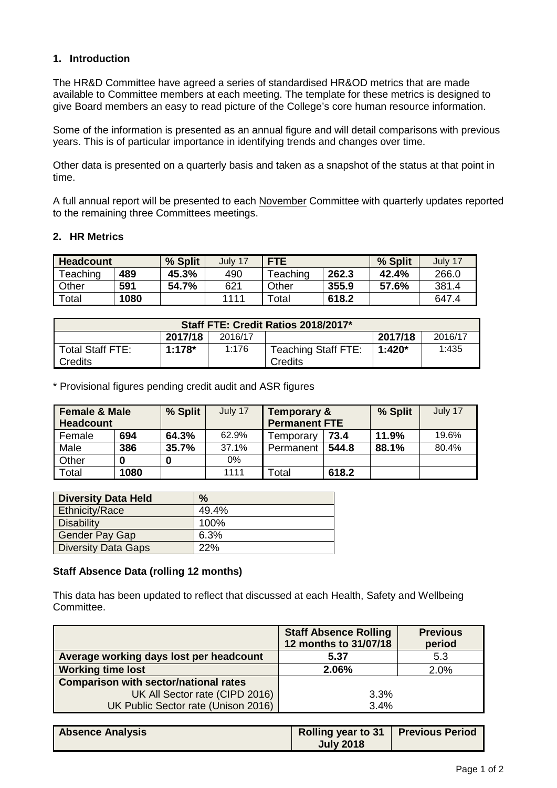#### **1. Introduction**

The HR&D Committee have agreed a series of standardised HR&OD metrics that are made available to Committee members at each meeting. The template for these metrics is designed to give Board members an easy to read picture of the College's core human resource information.

Some of the information is presented as an annual figure and will detail comparisons with previous years. This is of particular importance in identifying trends and changes over time.

Other data is presented on a quarterly basis and taken as a snapshot of the status at that point in time.

A full annual report will be presented to each November Committee with quarterly updates reported to the remaining three Committees meetings.

#### **2. HR Metrics**

| Headcount    |      | % Split | July 17 | <b>FTE</b> |       | % Split | July 17 |
|--------------|------|---------|---------|------------|-------|---------|---------|
| Teaching     | 489  | 45.3%   | 490     | Teaching   | 262.3 | 42.4%   | 266.0   |
| <b>Other</b> | 591  | 54.7%   | 621     | Other      | 355.9 | 57.6%   | 381.4   |
| Total        | 1080 |         | 1111    | Total      | 618.2 |         | 647.4   |

| Staff FTE: Credit Ratios 2018/2017* |           |       |                     |          |         |
|-------------------------------------|-----------|-------|---------------------|----------|---------|
| 2017/18<br>2017/18<br>2016/17       |           |       |                     |          | 2016/17 |
| l Total Staff FTE:                  | $1:178^*$ | 1:176 | Teaching Staff FTE: | $1:420*$ | 1:435   |
| Credits                             |           |       | Credits             |          |         |

\* Provisional figures pending credit audit and ASR figures

| <b>Female &amp; Male</b><br><b>Headcount</b> |      | % Split | July 17 | Temporary &<br><b>Permanent FTE</b> |       | % Split | July 17 |
|----------------------------------------------|------|---------|---------|-------------------------------------|-------|---------|---------|
| Female                                       | 694  | 64.3%   | 62.9%   | Temporary                           | 73.4  | 11.9%   | 19.6%   |
| Male                                         | 386  | 35.7%   | 37.1%   | Permanent                           | 544.8 | 88.1%   | 80.4%   |
| Other                                        |      | 0       | 0%      |                                     |       |         |         |
| Total                                        | 1080 |         | 1111    | Total                               | 618.2 |         |         |

| <b>Diversity Data Held</b> | $\frac{9}{6}$ |
|----------------------------|---------------|
| <b>Ethnicity/Race</b>      | 49.4%         |
| <b>Disability</b>          | 100%          |
| <b>Gender Pay Gap</b>      | 6.3%          |
| <b>Diversity Data Gaps</b> | 22%           |

#### **Staff Absence Data (rolling 12 months)**

This data has been updated to reflect that discussed at each Health, Safety and Wellbeing Committee.

|                                              | <b>Staff Absence Rolling</b><br>12 months to 31/07/18 | <b>Previous</b><br>period |
|----------------------------------------------|-------------------------------------------------------|---------------------------|
| Average working days lost per headcount      | 5.37                                                  | 5.3                       |
| <b>Working time lost</b>                     | 2.06%                                                 | 2.0%                      |
| <b>Comparison with sector/national rates</b> |                                                       |                           |
| UK All Sector rate (CIPD 2016)               | 3.3%                                                  |                           |
| UK Public Sector rate (Unison 2016)          | 3.4%                                                  |                           |

| <b>Absence Analysis</b> | Rolling year to 31   Previous Period |  |
|-------------------------|--------------------------------------|--|
|                         | <b>July 2018</b>                     |  |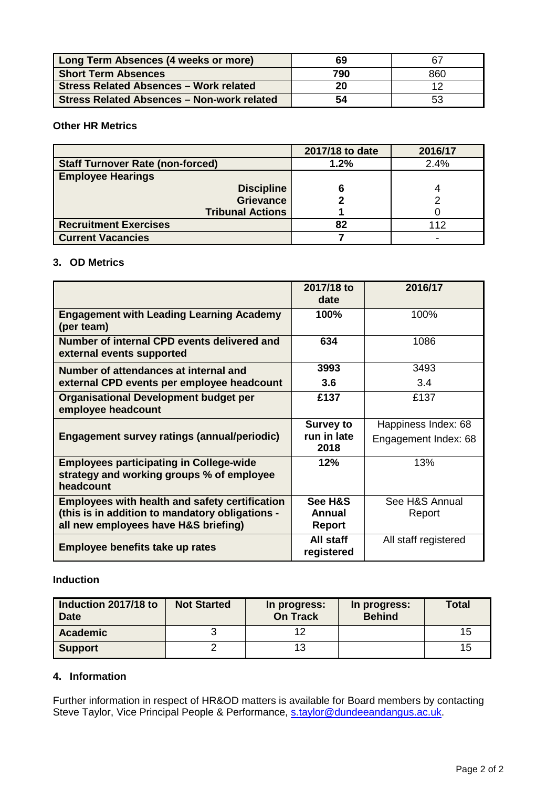| Long Term Absences (4 weeks or more)          | 69  | 67  |
|-----------------------------------------------|-----|-----|
| <b>Short Term Absences</b>                    | 790 | 860 |
| <b>Stress Related Absences - Work related</b> | 20  |     |
| Stress Related Absences - Non-work related    | 54  | 53  |

#### **Other HR Metrics**

|                                         | 2017/18 to date | 2016/17 |
|-----------------------------------------|-----------------|---------|
| <b>Staff Turnover Rate (non-forced)</b> | 1.2%            | 2.4%    |
| <b>Employee Hearings</b>                |                 |         |
| <b>Discipline</b>                       |                 |         |
| <b>Grievance</b>                        |                 |         |
| <b>Tribunal Actions</b>                 |                 |         |
| <b>Recruitment Exercises</b>            | 82              | 112     |
| <b>Current Vacancies</b>                |                 | -       |

#### **3. OD Metrics**

|                                                                                                                                                  | 2017/18 to<br>date                 | 2016/17                  |
|--------------------------------------------------------------------------------------------------------------------------------------------------|------------------------------------|--------------------------|
| <b>Engagement with Leading Learning Academy</b><br>(per team)                                                                                    | 100%                               | 100%                     |
| Number of internal CPD events delivered and<br>external events supported                                                                         | 634                                | 1086                     |
| Number of attendances at internal and                                                                                                            | 3993                               | 3493                     |
| external CPD events per employee headcount                                                                                                       | 3.6                                | 3.4                      |
| <b>Organisational Development budget per</b><br>employee headcount                                                                               | £137                               | £137                     |
|                                                                                                                                                  | <b>Survey to</b>                   | Happiness Index: 68      |
| <b>Engagement survey ratings (annual/periodic)</b>                                                                                               | run in late<br>2018                | Engagement Index: 68     |
| <b>Employees participating in College-wide</b><br>strategy and working groups % of employee<br>headcount                                         | 12%                                | 13%                      |
| <b>Employees with health and safety certification</b><br>(this is in addition to mandatory obligations -<br>all new employees have H&S briefing) | See H&S<br>Annual<br><b>Report</b> | See H&S Annual<br>Report |
| Employee benefits take up rates                                                                                                                  | All staff<br>registered            | All staff registered     |

#### **Induction**

| Induction 2017/18 to<br><b>Date</b> | <b>Not Started</b> | In progress:<br><b>On Track</b> | In progress:<br><b>Behind</b> | <b>Total</b>   |
|-------------------------------------|--------------------|---------------------------------|-------------------------------|----------------|
| <b>Academic</b>                     |                    | 12                              |                               | 15             |
| Support                             |                    | 13                              |                               | 1 <sub>5</sub> |

#### **4. Information**

Further information in respect of HR&OD matters is available for Board members by contacting Steve Taylor, Vice Principal People & Performance, [s.taylor@dundeeandangus.ac.uk.](mailto:s.taylor@dundeeandangus.ac.uk)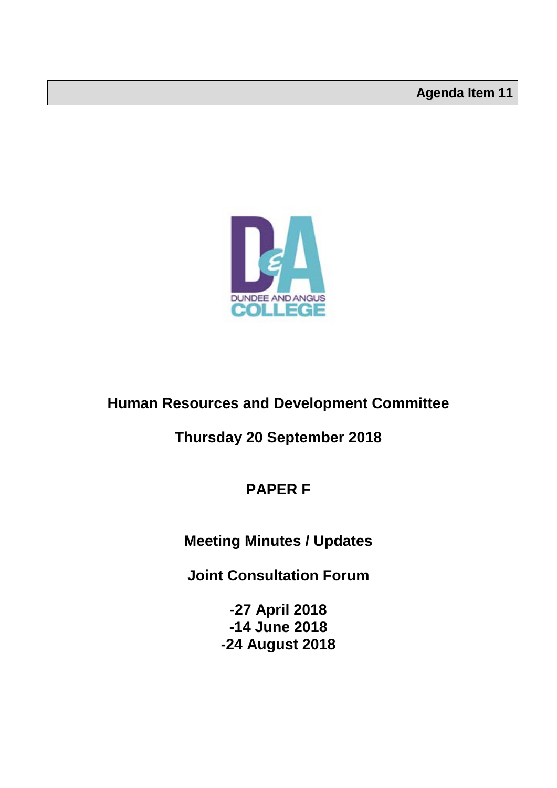

### **Human Resources and Development Committee**

### **Thursday 20 September 2018**

### **PAPER F**

### **Meeting Minutes / Updates**

**Joint Consultation Forum** 

**-27 April 2018 -14 June 2018 -24 August 2018**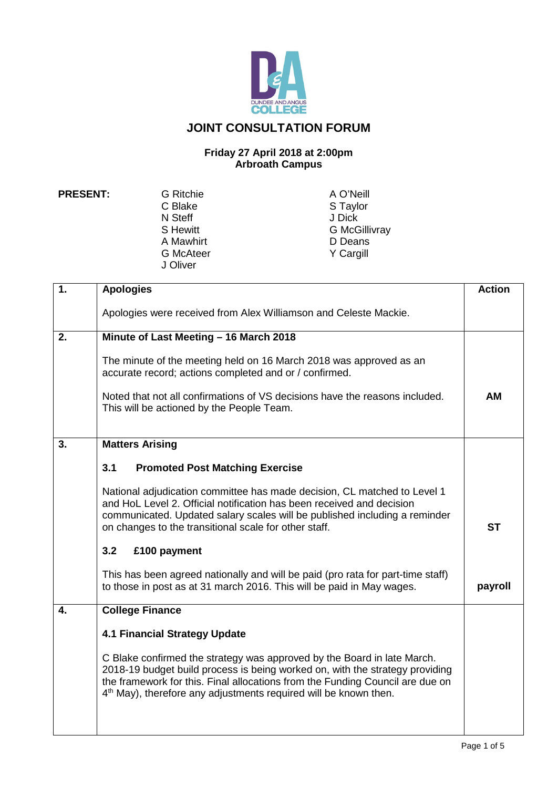

### **JOINT CONSULTATION FORUM**

#### **Friday 27 April 2018 at 2:00pm Arbroath Campus**

N Steff<br>S Hewitt A Mawhirt D Deans<br>
G McAteer 
S Y Cargill G McAteer J Oliver

**PRESENT:** G Ritchie A O'Neill<br>C Blake A O'Neill S Taylor S Taylor<br>J Dick G McGillivray<br>D Deans

| $\mathbf{1}$ . | <b>Apologies</b>                                                                                                                                                                                                                                                                                                         | <b>Action</b> |
|----------------|--------------------------------------------------------------------------------------------------------------------------------------------------------------------------------------------------------------------------------------------------------------------------------------------------------------------------|---------------|
|                |                                                                                                                                                                                                                                                                                                                          |               |
|                | Apologies were received from Alex Williamson and Celeste Mackie.                                                                                                                                                                                                                                                         |               |
| 2.             | Minute of Last Meeting - 16 March 2018                                                                                                                                                                                                                                                                                   |               |
|                | The minute of the meeting held on 16 March 2018 was approved as an<br>accurate record; actions completed and or / confirmed.                                                                                                                                                                                             |               |
|                | Noted that not all confirmations of VS decisions have the reasons included.<br>This will be actioned by the People Team.                                                                                                                                                                                                 | ΑМ            |
| 3.             | <b>Matters Arising</b>                                                                                                                                                                                                                                                                                                   |               |
|                | 3.1<br><b>Promoted Post Matching Exercise</b>                                                                                                                                                                                                                                                                            |               |
|                | National adjudication committee has made decision, CL matched to Level 1<br>and HoL Level 2. Official notification has been received and decision<br>communicated. Updated salary scales will be published including a reminder<br>on changes to the transitional scale for other staff.                                 | <b>ST</b>     |
|                | 3.2<br>£100 payment                                                                                                                                                                                                                                                                                                      |               |
|                | This has been agreed nationally and will be paid (pro rata for part-time staff)<br>to those in post as at 31 march 2016. This will be paid in May wages.                                                                                                                                                                 | payroll       |
| 4.             | <b>College Finance</b>                                                                                                                                                                                                                                                                                                   |               |
|                | <b>4.1 Financial Strategy Update</b>                                                                                                                                                                                                                                                                                     |               |
|                | C Blake confirmed the strategy was approved by the Board in late March.<br>2018-19 budget build process is being worked on, with the strategy providing<br>the framework for this. Final allocations from the Funding Council are due on<br>4 <sup>th</sup> May), therefore any adjustments required will be known then. |               |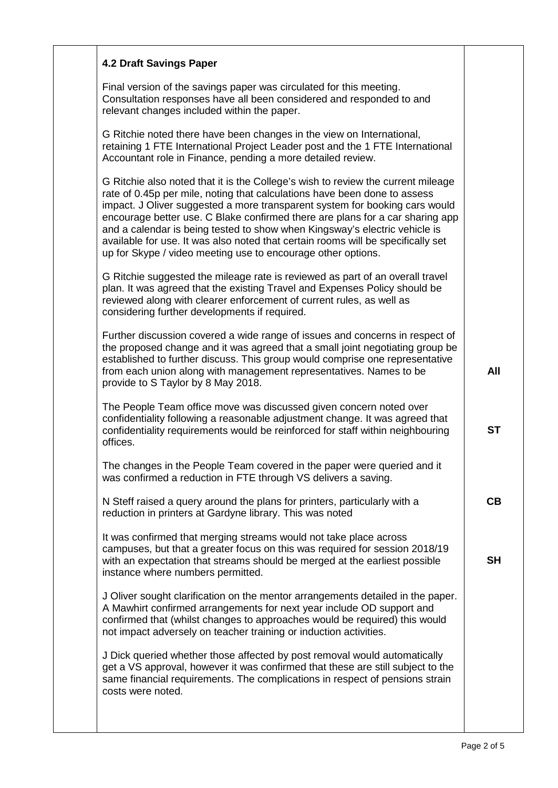| <b>4.2 Draft Savings Paper</b>                                                                                                                                                                                                                                                                                                                                                                                                                                                                                                                                  |           |
|-----------------------------------------------------------------------------------------------------------------------------------------------------------------------------------------------------------------------------------------------------------------------------------------------------------------------------------------------------------------------------------------------------------------------------------------------------------------------------------------------------------------------------------------------------------------|-----------|
| Final version of the savings paper was circulated for this meeting.<br>Consultation responses have all been considered and responded to and<br>relevant changes included within the paper.                                                                                                                                                                                                                                                                                                                                                                      |           |
| G Ritchie noted there have been changes in the view on International,<br>retaining 1 FTE International Project Leader post and the 1 FTE International<br>Accountant role in Finance, pending a more detailed review.                                                                                                                                                                                                                                                                                                                                           |           |
| G Ritchie also noted that it is the College's wish to review the current mileage<br>rate of 0.45p per mile, noting that calculations have been done to assess<br>impact. J Oliver suggested a more transparent system for booking cars would<br>encourage better use. C Blake confirmed there are plans for a car sharing app<br>and a calendar is being tested to show when Kingsway's electric vehicle is<br>available for use. It was also noted that certain rooms will be specifically set<br>up for Skype / video meeting use to encourage other options. |           |
| G Ritchie suggested the mileage rate is reviewed as part of an overall travel<br>plan. It was agreed that the existing Travel and Expenses Policy should be<br>reviewed along with clearer enforcement of current rules, as well as<br>considering further developments if required.                                                                                                                                                                                                                                                                            |           |
| Further discussion covered a wide range of issues and concerns in respect of<br>the proposed change and it was agreed that a small joint negotiating group be<br>established to further discuss. This group would comprise one representative<br>from each union along with management representatives. Names to be<br>provide to S Taylor by 8 May 2018.                                                                                                                                                                                                       | All       |
| The People Team office move was discussed given concern noted over<br>confidentiality following a reasonable adjustment change. It was agreed that<br>confidentiality requirements would be reinforced for staff within neighbouring<br>offices.                                                                                                                                                                                                                                                                                                                | <b>ST</b> |
| The changes in the People Team covered in the paper were queried and it<br>was confirmed a reduction in FTE through VS delivers a saving.                                                                                                                                                                                                                                                                                                                                                                                                                       |           |
| N Steff raised a query around the plans for printers, particularly with a<br>reduction in printers at Gardyne library. This was noted                                                                                                                                                                                                                                                                                                                                                                                                                           | CB        |
| It was confirmed that merging streams would not take place across<br>campuses, but that a greater focus on this was required for session 2018/19<br>with an expectation that streams should be merged at the earliest possible<br>instance where numbers permitted.                                                                                                                                                                                                                                                                                             | <b>SH</b> |
| J Oliver sought clarification on the mentor arrangements detailed in the paper.<br>A Mawhirt confirmed arrangements for next year include OD support and<br>confirmed that (whilst changes to approaches would be required) this would<br>not impact adversely on teacher training or induction activities.                                                                                                                                                                                                                                                     |           |
| J Dick queried whether those affected by post removal would automatically<br>get a VS approval, however it was confirmed that these are still subject to the<br>same financial requirements. The complications in respect of pensions strain<br>costs were noted.                                                                                                                                                                                                                                                                                               |           |
|                                                                                                                                                                                                                                                                                                                                                                                                                                                                                                                                                                 |           |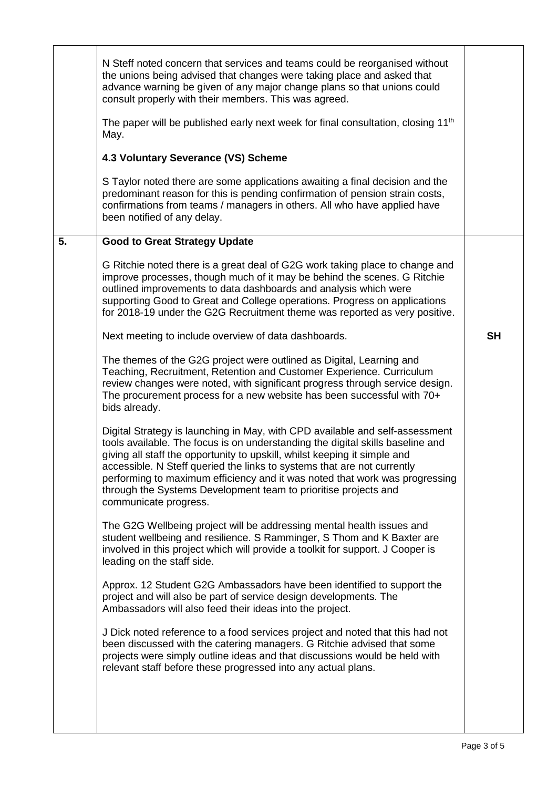|    | N Steff noted concern that services and teams could be reorganised without<br>the unions being advised that changes were taking place and asked that<br>advance warning be given of any major change plans so that unions could<br>consult properly with their members. This was agreed.                                                                                                                                                                                                          |           |
|----|---------------------------------------------------------------------------------------------------------------------------------------------------------------------------------------------------------------------------------------------------------------------------------------------------------------------------------------------------------------------------------------------------------------------------------------------------------------------------------------------------|-----------|
|    | The paper will be published early next week for final consultation, closing 11 <sup>th</sup><br>May.                                                                                                                                                                                                                                                                                                                                                                                              |           |
|    | 4.3 Voluntary Severance (VS) Scheme                                                                                                                                                                                                                                                                                                                                                                                                                                                               |           |
|    | S Taylor noted there are some applications awaiting a final decision and the<br>predominant reason for this is pending confirmation of pension strain costs,<br>confirmations from teams / managers in others. All who have applied have<br>been notified of any delay.                                                                                                                                                                                                                           |           |
| 5. | <b>Good to Great Strategy Update</b>                                                                                                                                                                                                                                                                                                                                                                                                                                                              |           |
|    | G Ritchie noted there is a great deal of G2G work taking place to change and<br>improve processes, though much of it may be behind the scenes. G Ritchie<br>outlined improvements to data dashboards and analysis which were<br>supporting Good to Great and College operations. Progress on applications<br>for 2018-19 under the G2G Recruitment theme was reported as very positive.                                                                                                           |           |
|    | Next meeting to include overview of data dashboards.                                                                                                                                                                                                                                                                                                                                                                                                                                              | <b>SH</b> |
|    | The themes of the G2G project were outlined as Digital, Learning and<br>Teaching, Recruitment, Retention and Customer Experience. Curriculum<br>review changes were noted, with significant progress through service design.<br>The procurement process for a new website has been successful with 70+<br>bids already.                                                                                                                                                                           |           |
|    | Digital Strategy is launching in May, with CPD available and self-assessment<br>tools available. The focus is on understanding the digital skills baseline and<br>giving all staff the opportunity to upskill, whilst keeping it simple and<br>accessible. N Steff queried the links to systems that are not currently<br>performing to maximum efficiency and it was noted that work was progressing<br>through the Systems Development team to prioritise projects and<br>communicate progress. |           |
|    | The G2G Wellbeing project will be addressing mental health issues and<br>student wellbeing and resilience. S Ramminger, S Thom and K Baxter are<br>involved in this project which will provide a toolkit for support. J Cooper is<br>leading on the staff side.                                                                                                                                                                                                                                   |           |
|    | Approx. 12 Student G2G Ambassadors have been identified to support the<br>project and will also be part of service design developments. The<br>Ambassadors will also feed their ideas into the project.                                                                                                                                                                                                                                                                                           |           |
|    | J Dick noted reference to a food services project and noted that this had not<br>been discussed with the catering managers. G Ritchie advised that some<br>projects were simply outline ideas and that discussions would be held with<br>relevant staff before these progressed into any actual plans.                                                                                                                                                                                            |           |
|    |                                                                                                                                                                                                                                                                                                                                                                                                                                                                                                   |           |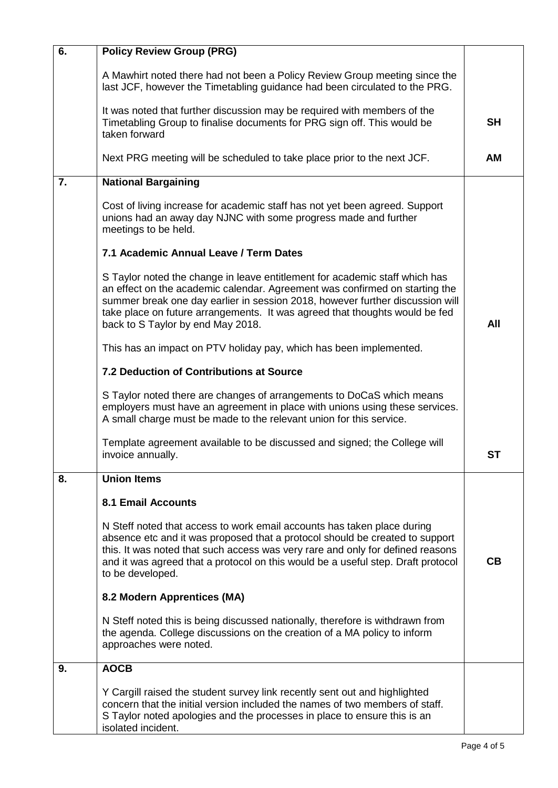| 6. | <b>Policy Review Group (PRG)</b>                                                                                                                                                                                                                                                                                                                                |           |
|----|-----------------------------------------------------------------------------------------------------------------------------------------------------------------------------------------------------------------------------------------------------------------------------------------------------------------------------------------------------------------|-----------|
|    | A Mawhirt noted there had not been a Policy Review Group meeting since the<br>last JCF, however the Timetabling guidance had been circulated to the PRG.                                                                                                                                                                                                        |           |
|    | It was noted that further discussion may be required with members of the<br>Timetabling Group to finalise documents for PRG sign off. This would be<br>taken forward                                                                                                                                                                                            | <b>SH</b> |
|    | Next PRG meeting will be scheduled to take place prior to the next JCF.                                                                                                                                                                                                                                                                                         | AM        |
| 7. | <b>National Bargaining</b>                                                                                                                                                                                                                                                                                                                                      |           |
|    | Cost of living increase for academic staff has not yet been agreed. Support<br>unions had an away day NJNC with some progress made and further<br>meetings to be held.                                                                                                                                                                                          |           |
|    | 7.1 Academic Annual Leave / Term Dates                                                                                                                                                                                                                                                                                                                          |           |
|    | S Taylor noted the change in leave entitlement for academic staff which has<br>an effect on the academic calendar. Agreement was confirmed on starting the<br>summer break one day earlier in session 2018, however further discussion will<br>take place on future arrangements. It was agreed that thoughts would be fed<br>back to S Taylor by end May 2018. | All       |
|    | This has an impact on PTV holiday pay, which has been implemented.                                                                                                                                                                                                                                                                                              |           |
|    | 7.2 Deduction of Contributions at Source                                                                                                                                                                                                                                                                                                                        |           |
|    | S Taylor noted there are changes of arrangements to DoCaS which means<br>employers must have an agreement in place with unions using these services.<br>A small charge must be made to the relevant union for this service.                                                                                                                                     |           |
|    | Template agreement available to be discussed and signed; the College will<br>invoice annually.                                                                                                                                                                                                                                                                  | <b>ST</b> |
| 8. | <b>Union Items</b>                                                                                                                                                                                                                                                                                                                                              |           |
|    | <b>8.1 Email Accounts</b>                                                                                                                                                                                                                                                                                                                                       |           |
|    | N Steff noted that access to work email accounts has taken place during<br>absence etc and it was proposed that a protocol should be created to support<br>this. It was noted that such access was very rare and only for defined reasons<br>and it was agreed that a protocol on this would be a useful step. Draft protocol<br>to be developed.               | CB        |
|    | 8.2 Modern Apprentices (MA)                                                                                                                                                                                                                                                                                                                                     |           |
|    | N Steff noted this is being discussed nationally, therefore is withdrawn from<br>the agenda. College discussions on the creation of a MA policy to inform<br>approaches were noted.                                                                                                                                                                             |           |
| 9. | <b>AOCB</b>                                                                                                                                                                                                                                                                                                                                                     |           |
|    | Y Cargill raised the student survey link recently sent out and highlighted<br>concern that the initial version included the names of two members of staff.<br>S Taylor noted apologies and the processes in place to ensure this is an<br>isolated incident.                                                                                                    |           |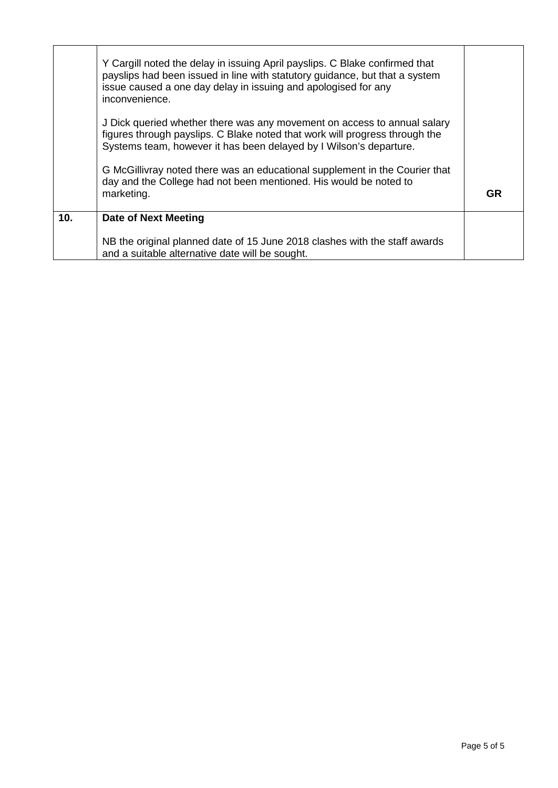|                 | Y Cargill noted the delay in issuing April payslips. C Blake confirmed that<br>payslips had been issued in line with statutory guidance, but that a system<br>issue caused a one day delay in issuing and apologised for any<br>inconvenience. |    |
|-----------------|------------------------------------------------------------------------------------------------------------------------------------------------------------------------------------------------------------------------------------------------|----|
|                 | J Dick queried whether there was any movement on access to annual salary<br>figures through payslips. C Blake noted that work will progress through the<br>Systems team, however it has been delayed by I Wilson's departure.                  |    |
|                 | G McGillivray noted there was an educational supplement in the Courier that<br>day and the College had not been mentioned. His would be noted to<br>marketing.                                                                                 | GR |
| 10 <sub>1</sub> | Date of Next Meeting                                                                                                                                                                                                                           |    |
|                 | NB the original planned date of 15 June 2018 clashes with the staff awards<br>and a suitable alternative date will be sought.                                                                                                                  |    |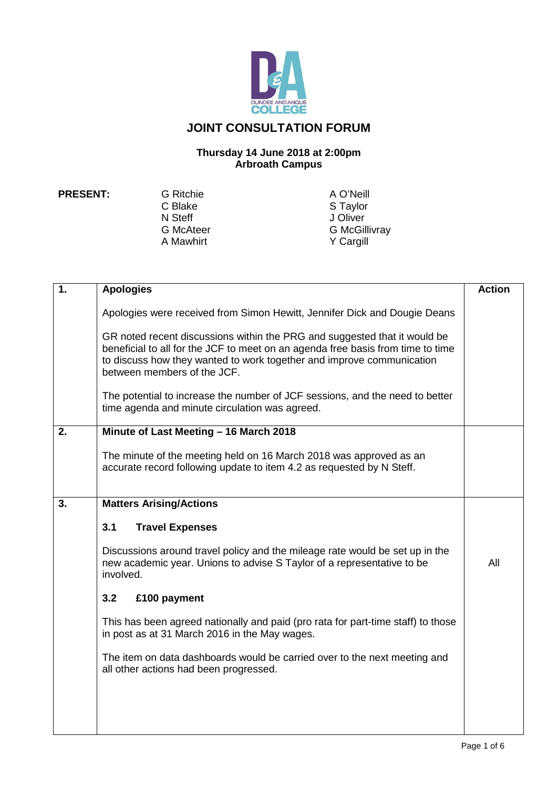

### **JOINT CONSULTATION FORUM**

#### **Thursday 14 June 2018 at 2:00pm Arbroath Campus**

C Blake S Taylor<br>
N Steff Steff Steff Steff Steff Steff Steff Steff Stefan Stefan Stefan Stefan Stefan Stefan Stefan Stefan Stefan Stefan Stefan Stefan Stefan Stefan Stefan Stefan Stefan Stefan Stefan Stefan Stefan Stefan N Steff J Oliver<br>
G McAteer G McGil A Mawhirt

**PRESENT:** G Ritchie A O'Neill<br>C Blake A O'Neill S Taylor G McGillivray<br>Y Cargill

| $\overline{1}$ . | <b>Apologies</b>                                                                                                                                                                                                                                                     | <b>Action</b> |
|------------------|----------------------------------------------------------------------------------------------------------------------------------------------------------------------------------------------------------------------------------------------------------------------|---------------|
|                  | Apologies were received from Simon Hewitt, Jennifer Dick and Dougie Deans                                                                                                                                                                                            |               |
|                  | GR noted recent discussions within the PRG and suggested that it would be<br>beneficial to all for the JCF to meet on an agenda free basis from time to time<br>to discuss how they wanted to work together and improve communication<br>between members of the JCF. |               |
|                  | The potential to increase the number of JCF sessions, and the need to better<br>time agenda and minute circulation was agreed.                                                                                                                                       |               |
| 2.               | Minute of Last Meeting - 16 March 2018                                                                                                                                                                                                                               |               |
|                  | The minute of the meeting held on 16 March 2018 was approved as an<br>accurate record following update to item 4.2 as requested by N Steff.                                                                                                                          |               |
| 3.               | <b>Matters Arising/Actions</b>                                                                                                                                                                                                                                       |               |
|                  | 3.1<br><b>Travel Expenses</b>                                                                                                                                                                                                                                        |               |
|                  | Discussions around travel policy and the mileage rate would be set up in the<br>new academic year. Unions to advise S Taylor of a representative to be<br>involved.                                                                                                  | All           |
|                  | 3.2<br>£100 payment                                                                                                                                                                                                                                                  |               |
|                  | This has been agreed nationally and paid (pro rata for part-time staff) to those<br>in post as at 31 March 2016 in the May wages.                                                                                                                                    |               |
|                  | The item on data dashboards would be carried over to the next meeting and<br>all other actions had been progressed.                                                                                                                                                  |               |
|                  |                                                                                                                                                                                                                                                                      |               |
|                  |                                                                                                                                                                                                                                                                      |               |
|                  |                                                                                                                                                                                                                                                                      |               |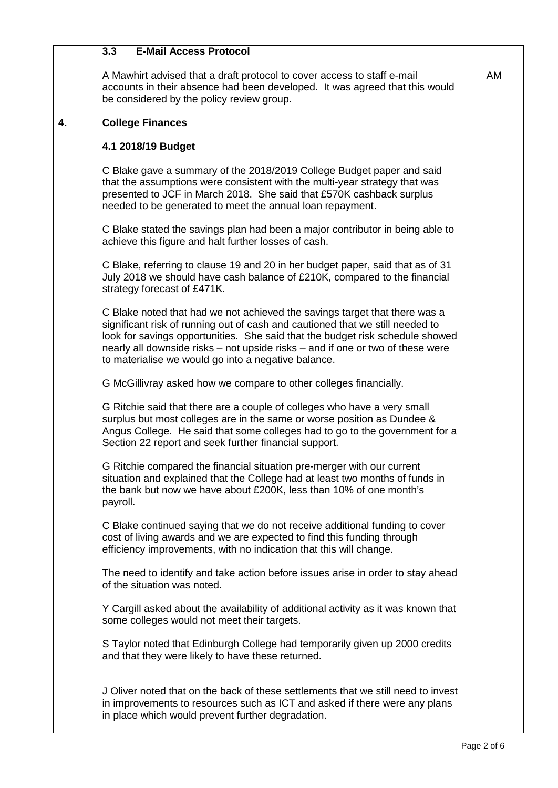|    | <b>E-Mail Access Protocol</b><br>3.3                                                                                                                                                                                                                                                                                                                                                  |    |
|----|---------------------------------------------------------------------------------------------------------------------------------------------------------------------------------------------------------------------------------------------------------------------------------------------------------------------------------------------------------------------------------------|----|
|    | A Mawhirt advised that a draft protocol to cover access to staff e-mail<br>accounts in their absence had been developed. It was agreed that this would<br>be considered by the policy review group.                                                                                                                                                                                   | AM |
| 4. | <b>College Finances</b>                                                                                                                                                                                                                                                                                                                                                               |    |
|    | 4.1 2018/19 Budget                                                                                                                                                                                                                                                                                                                                                                    |    |
|    | C Blake gave a summary of the 2018/2019 College Budget paper and said<br>that the assumptions were consistent with the multi-year strategy that was<br>presented to JCF in March 2018. She said that £570K cashback surplus<br>needed to be generated to meet the annual loan repayment.                                                                                              |    |
|    | C Blake stated the savings plan had been a major contributor in being able to<br>achieve this figure and halt further losses of cash.                                                                                                                                                                                                                                                 |    |
|    | C Blake, referring to clause 19 and 20 in her budget paper, said that as of 31<br>July 2018 we should have cash balance of £210K, compared to the financial<br>strategy forecast of £471K.                                                                                                                                                                                            |    |
|    | C Blake noted that had we not achieved the savings target that there was a<br>significant risk of running out of cash and cautioned that we still needed to<br>look for savings opportunities. She said that the budget risk schedule showed<br>nearly all downside risks – not upside risks – and if one or two of these were<br>to materialise we would go into a negative balance. |    |
|    | G McGillivray asked how we compare to other colleges financially.                                                                                                                                                                                                                                                                                                                     |    |
|    | G Ritchie said that there are a couple of colleges who have a very small<br>surplus but most colleges are in the same or worse position as Dundee &<br>Angus College. He said that some colleges had to go to the government for a<br>Section 22 report and seek further financial support.                                                                                           |    |
|    | G Ritchie compared the financial situation pre-merger with our current<br>situation and explained that the College had at least two months of funds in<br>the bank but now we have about £200K, less than 10% of one month's<br>payroll.                                                                                                                                              |    |
|    | C Blake continued saying that we do not receive additional funding to cover<br>cost of living awards and we are expected to find this funding through<br>efficiency improvements, with no indication that this will change.                                                                                                                                                           |    |
|    | The need to identify and take action before issues arise in order to stay ahead<br>of the situation was noted.                                                                                                                                                                                                                                                                        |    |
|    | Y Cargill asked about the availability of additional activity as it was known that<br>some colleges would not meet their targets.                                                                                                                                                                                                                                                     |    |
|    | S Taylor noted that Edinburgh College had temporarily given up 2000 credits<br>and that they were likely to have these returned.                                                                                                                                                                                                                                                      |    |
|    | J Oliver noted that on the back of these settlements that we still need to invest<br>in improvements to resources such as ICT and asked if there were any plans<br>in place which would prevent further degradation.                                                                                                                                                                  |    |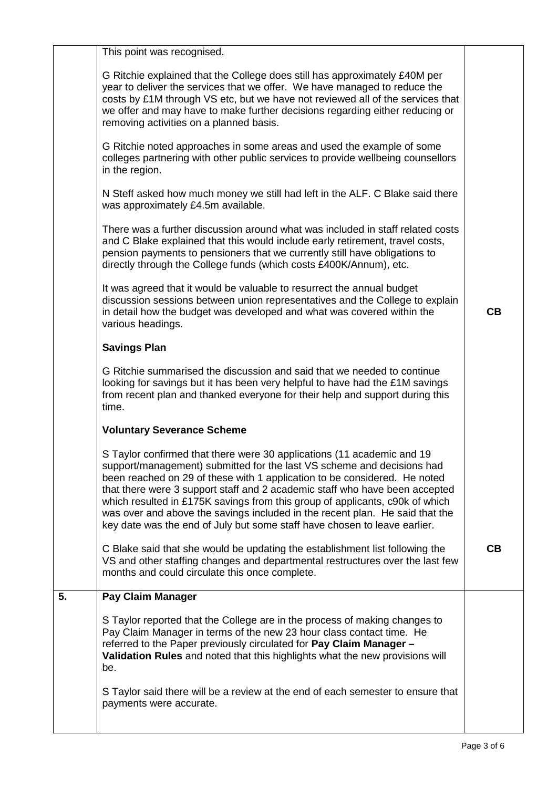|    | This point was recognised.                                                                                                                                                                                                                                                                                                                                                                                                                                                                                                                                |    |
|----|-----------------------------------------------------------------------------------------------------------------------------------------------------------------------------------------------------------------------------------------------------------------------------------------------------------------------------------------------------------------------------------------------------------------------------------------------------------------------------------------------------------------------------------------------------------|----|
|    | G Ritchie explained that the College does still has approximately £40M per<br>year to deliver the services that we offer. We have managed to reduce the<br>costs by £1M through VS etc, but we have not reviewed all of the services that<br>we offer and may have to make further decisions regarding either reducing or<br>removing activities on a planned basis.                                                                                                                                                                                      |    |
|    | G Ritchie noted approaches in some areas and used the example of some<br>colleges partnering with other public services to provide wellbeing counsellors<br>in the region.                                                                                                                                                                                                                                                                                                                                                                                |    |
|    | N Steff asked how much money we still had left in the ALF. C Blake said there<br>was approximately £4.5m available.                                                                                                                                                                                                                                                                                                                                                                                                                                       |    |
|    | There was a further discussion around what was included in staff related costs<br>and C Blake explained that this would include early retirement, travel costs,<br>pension payments to pensioners that we currently still have obligations to<br>directly through the College funds (which costs £400K/Annum), etc.                                                                                                                                                                                                                                       |    |
|    | It was agreed that it would be valuable to resurrect the annual budget<br>discussion sessions between union representatives and the College to explain<br>in detail how the budget was developed and what was covered within the<br>various headings.                                                                                                                                                                                                                                                                                                     | CB |
|    | <b>Savings Plan</b>                                                                                                                                                                                                                                                                                                                                                                                                                                                                                                                                       |    |
|    | G Ritchie summarised the discussion and said that we needed to continue<br>looking for savings but it has been very helpful to have had the £1M savings<br>from recent plan and thanked everyone for their help and support during this<br>time.                                                                                                                                                                                                                                                                                                          |    |
|    | <b>Voluntary Severance Scheme</b>                                                                                                                                                                                                                                                                                                                                                                                                                                                                                                                         |    |
|    | S Taylor confirmed that there were 30 applications (11 academic and 19<br>support/management) submitted for the last VS scheme and decisions had<br>been reached on 29 of these with 1 application to be considered. He noted<br>that there were 3 support staff and 2 academic staff who have been accepted<br>which resulted in £175K savings from this group of applicants, c90k of which<br>was over and above the savings included in the recent plan. He said that the<br>key date was the end of July but some staff have chosen to leave earlier. |    |
|    | C Blake said that she would be updating the establishment list following the<br>VS and other staffing changes and departmental restructures over the last few<br>months and could circulate this once complete.                                                                                                                                                                                                                                                                                                                                           | CВ |
| 5. | <b>Pay Claim Manager</b>                                                                                                                                                                                                                                                                                                                                                                                                                                                                                                                                  |    |
|    | S Taylor reported that the College are in the process of making changes to<br>Pay Claim Manager in terms of the new 23 hour class contact time. He<br>referred to the Paper previously circulated for Pay Claim Manager -<br>Validation Rules and noted that this highlights what the new provisions will<br>be.                                                                                                                                                                                                                                          |    |
|    | S Taylor said there will be a review at the end of each semester to ensure that<br>payments were accurate.                                                                                                                                                                                                                                                                                                                                                                                                                                                |    |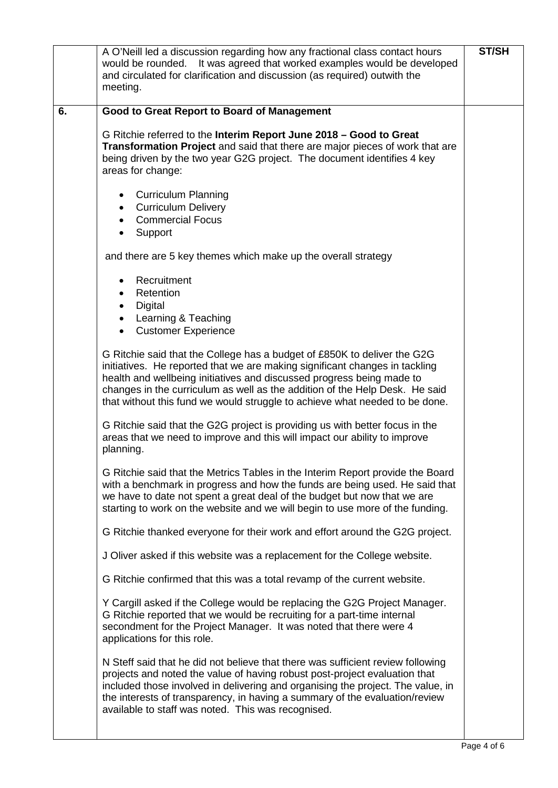|    | A O'Neill led a discussion regarding how any fractional class contact hours<br>It was agreed that worked examples would be developed<br>would be rounded.<br>and circulated for clarification and discussion (as required) outwith the<br>meeting.                                                                                                                                             |  |  |  |  |
|----|------------------------------------------------------------------------------------------------------------------------------------------------------------------------------------------------------------------------------------------------------------------------------------------------------------------------------------------------------------------------------------------------|--|--|--|--|
| 6. | <b>Good to Great Report to Board of Management</b>                                                                                                                                                                                                                                                                                                                                             |  |  |  |  |
|    | G Ritchie referred to the Interim Report June 2018 - Good to Great<br>Transformation Project and said that there are major pieces of work that are<br>being driven by the two year G2G project. The document identifies 4 key<br>areas for change:                                                                                                                                             |  |  |  |  |
|    | • Curriculum Planning<br><b>Curriculum Delivery</b><br>$\bullet$<br><b>Commercial Focus</b><br>$\bullet$                                                                                                                                                                                                                                                                                       |  |  |  |  |
|    | Support<br>$\bullet$                                                                                                                                                                                                                                                                                                                                                                           |  |  |  |  |
|    | and there are 5 key themes which make up the overall strategy                                                                                                                                                                                                                                                                                                                                  |  |  |  |  |
|    | Recruitment<br>Retention<br>$\bullet$<br>Digital<br>$\bullet$                                                                                                                                                                                                                                                                                                                                  |  |  |  |  |
|    | • Learning & Teaching<br><b>Customer Experience</b>                                                                                                                                                                                                                                                                                                                                            |  |  |  |  |
|    | G Ritchie said that the College has a budget of £850K to deliver the G2G<br>initiatives. He reported that we are making significant changes in tackling<br>health and wellbeing initiatives and discussed progress being made to<br>changes in the curriculum as well as the addition of the Help Desk. He said<br>that without this fund we would struggle to achieve what needed to be done. |  |  |  |  |
|    | G Ritchie said that the G2G project is providing us with better focus in the<br>areas that we need to improve and this will impact our ability to improve<br>planning.                                                                                                                                                                                                                         |  |  |  |  |
|    | G Ritchie said that the Metrics Tables in the Interim Report provide the Board<br>with a benchmark in progress and how the funds are being used. He said that<br>we have to date not spent a great deal of the budget but now that we are<br>starting to work on the website and we will begin to use more of the funding.                                                                     |  |  |  |  |
|    | G Ritchie thanked everyone for their work and effort around the G2G project.                                                                                                                                                                                                                                                                                                                   |  |  |  |  |
|    | J Oliver asked if this website was a replacement for the College website.                                                                                                                                                                                                                                                                                                                      |  |  |  |  |
|    | G Ritchie confirmed that this was a total revamp of the current website.                                                                                                                                                                                                                                                                                                                       |  |  |  |  |
|    | Y Cargill asked if the College would be replacing the G2G Project Manager.<br>G Ritchie reported that we would be recruiting for a part-time internal<br>secondment for the Project Manager. It was noted that there were 4<br>applications for this role.                                                                                                                                     |  |  |  |  |
|    | N Steff said that he did not believe that there was sufficient review following<br>projects and noted the value of having robust post-project evaluation that<br>included those involved in delivering and organising the project. The value, in<br>the interests of transparency, in having a summary of the evaluation/review<br>available to staff was noted. This was recognised.          |  |  |  |  |
|    |                                                                                                                                                                                                                                                                                                                                                                                                |  |  |  |  |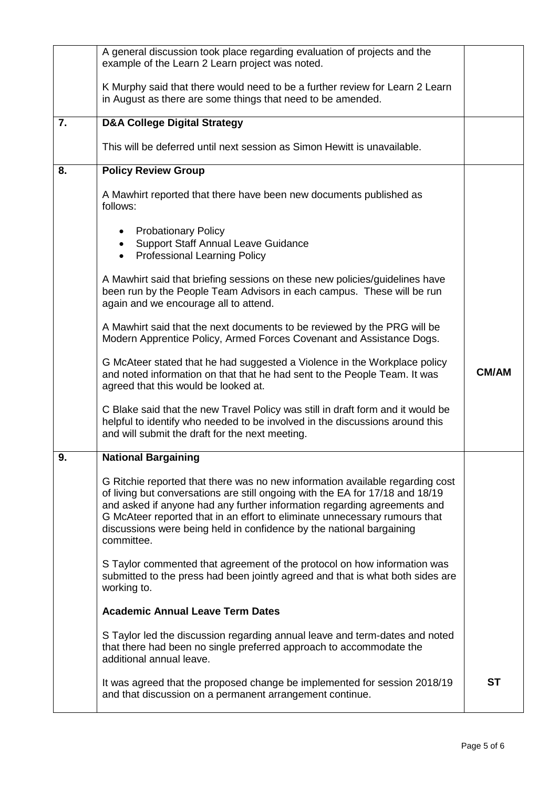|    | A general discussion took place regarding evaluation of projects and the<br>example of the Learn 2 Learn project was noted.                                                                                                                                                                                                                                                                                    |           |  |  |  |  |
|----|----------------------------------------------------------------------------------------------------------------------------------------------------------------------------------------------------------------------------------------------------------------------------------------------------------------------------------------------------------------------------------------------------------------|-----------|--|--|--|--|
|    | K Murphy said that there would need to be a further review for Learn 2 Learn<br>in August as there are some things that need to be amended.                                                                                                                                                                                                                                                                    |           |  |  |  |  |
| 7. | <b>D&amp;A College Digital Strategy</b>                                                                                                                                                                                                                                                                                                                                                                        |           |  |  |  |  |
|    | This will be deferred until next session as Simon Hewitt is unavailable.                                                                                                                                                                                                                                                                                                                                       |           |  |  |  |  |
| 8. | <b>Policy Review Group</b>                                                                                                                                                                                                                                                                                                                                                                                     |           |  |  |  |  |
|    | A Mawhirt reported that there have been new documents published as<br>follows:                                                                                                                                                                                                                                                                                                                                 |           |  |  |  |  |
|    | <b>Probationary Policy</b><br><b>Support Staff Annual Leave Guidance</b><br>$\bullet$<br><b>Professional Learning Policy</b><br>$\bullet$                                                                                                                                                                                                                                                                      |           |  |  |  |  |
|    | A Mawhirt said that briefing sessions on these new policies/guidelines have<br>been run by the People Team Advisors in each campus. These will be run<br>again and we encourage all to attend.                                                                                                                                                                                                                 |           |  |  |  |  |
|    | A Mawhirt said that the next documents to be reviewed by the PRG will be<br>Modern Apprentice Policy, Armed Forces Covenant and Assistance Dogs.                                                                                                                                                                                                                                                               |           |  |  |  |  |
|    | G McAteer stated that he had suggested a Violence in the Workplace policy<br>and noted information on that that he had sent to the People Team. It was<br>agreed that this would be looked at.                                                                                                                                                                                                                 |           |  |  |  |  |
|    | C Blake said that the new Travel Policy was still in draft form and it would be<br>helpful to identify who needed to be involved in the discussions around this<br>and will submit the draft for the next meeting.                                                                                                                                                                                             |           |  |  |  |  |
| 9. | <b>National Bargaining</b>                                                                                                                                                                                                                                                                                                                                                                                     |           |  |  |  |  |
|    | G Ritchie reported that there was no new information available regarding cost<br>of living but conversations are still ongoing with the EA for 17/18 and 18/19<br>and asked if anyone had any further information regarding agreements and<br>G McAteer reported that in an effort to eliminate unnecessary rumours that<br>discussions were being held in confidence by the national bargaining<br>committee. |           |  |  |  |  |
|    | S Taylor commented that agreement of the protocol on how information was<br>submitted to the press had been jointly agreed and that is what both sides are<br>working to.                                                                                                                                                                                                                                      |           |  |  |  |  |
|    | <b>Academic Annual Leave Term Dates</b>                                                                                                                                                                                                                                                                                                                                                                        |           |  |  |  |  |
|    | S Taylor led the discussion regarding annual leave and term-dates and noted<br>that there had been no single preferred approach to accommodate the<br>additional annual leave.                                                                                                                                                                                                                                 |           |  |  |  |  |
|    | It was agreed that the proposed change be implemented for session 2018/19<br>and that discussion on a permanent arrangement continue.                                                                                                                                                                                                                                                                          | <b>ST</b> |  |  |  |  |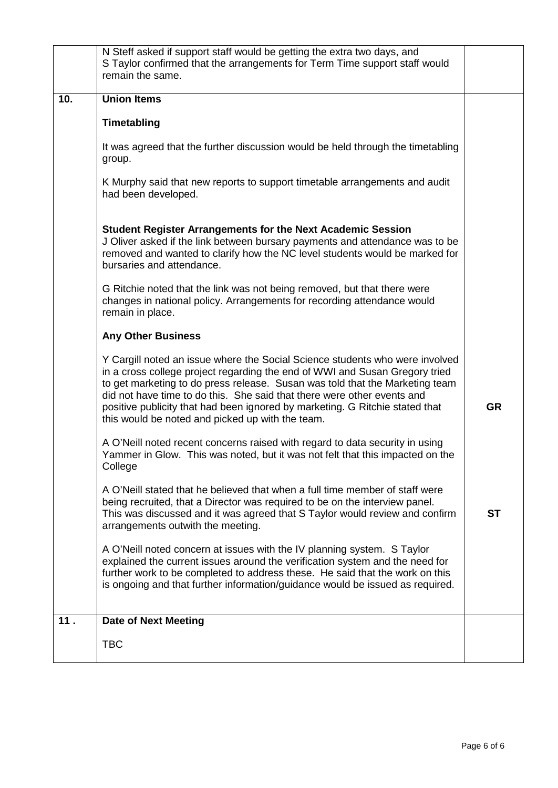|     | N Steff asked if support staff would be getting the extra two days, and<br>S Taylor confirmed that the arrangements for Term Time support staff would<br>remain the same.                                                                                                                                                                                                                                                                                  |           |  |  |  |
|-----|------------------------------------------------------------------------------------------------------------------------------------------------------------------------------------------------------------------------------------------------------------------------------------------------------------------------------------------------------------------------------------------------------------------------------------------------------------|-----------|--|--|--|
| 10. | <b>Union Items</b>                                                                                                                                                                                                                                                                                                                                                                                                                                         |           |  |  |  |
|     | Timetabling                                                                                                                                                                                                                                                                                                                                                                                                                                                |           |  |  |  |
|     | It was agreed that the further discussion would be held through the timetabling<br>group.                                                                                                                                                                                                                                                                                                                                                                  |           |  |  |  |
|     | K Murphy said that new reports to support timetable arrangements and audit<br>had been developed.                                                                                                                                                                                                                                                                                                                                                          |           |  |  |  |
|     | <b>Student Register Arrangements for the Next Academic Session</b><br>J Oliver asked if the link between bursary payments and attendance was to be<br>removed and wanted to clarify how the NC level students would be marked for<br>bursaries and attendance.                                                                                                                                                                                             |           |  |  |  |
|     | G Ritchie noted that the link was not being removed, but that there were<br>changes in national policy. Arrangements for recording attendance would<br>remain in place.                                                                                                                                                                                                                                                                                    |           |  |  |  |
|     | <b>Any Other Business</b>                                                                                                                                                                                                                                                                                                                                                                                                                                  |           |  |  |  |
|     | Y Cargill noted an issue where the Social Science students who were involved<br>in a cross college project regarding the end of WWI and Susan Gregory tried<br>to get marketing to do press release. Susan was told that the Marketing team<br>did not have time to do this. She said that there were other events and<br>positive publicity that had been ignored by marketing. G Ritchie stated that<br>this would be noted and picked up with the team. | <b>GR</b> |  |  |  |
|     | A O'Neill noted recent concerns raised with regard to data security in using<br>Yammer in Glow. This was noted, but it was not felt that this impacted on the<br>College                                                                                                                                                                                                                                                                                   |           |  |  |  |
|     | A O'Neill stated that he believed that when a full time member of staff were<br>being recruited, that a Director was required to be on the interview panel.<br>This was discussed and it was agreed that S Taylor would review and confirm<br>arrangements outwith the meeting.                                                                                                                                                                            | <b>ST</b> |  |  |  |
|     | A O'Neill noted concern at issues with the IV planning system. S Taylor<br>explained the current issues around the verification system and the need for<br>further work to be completed to address these. He said that the work on this<br>is ongoing and that further information/guidance would be issued as required.                                                                                                                                   |           |  |  |  |
| 11. | <b>Date of Next Meeting</b>                                                                                                                                                                                                                                                                                                                                                                                                                                |           |  |  |  |
|     | <b>TBC</b>                                                                                                                                                                                                                                                                                                                                                                                                                                                 |           |  |  |  |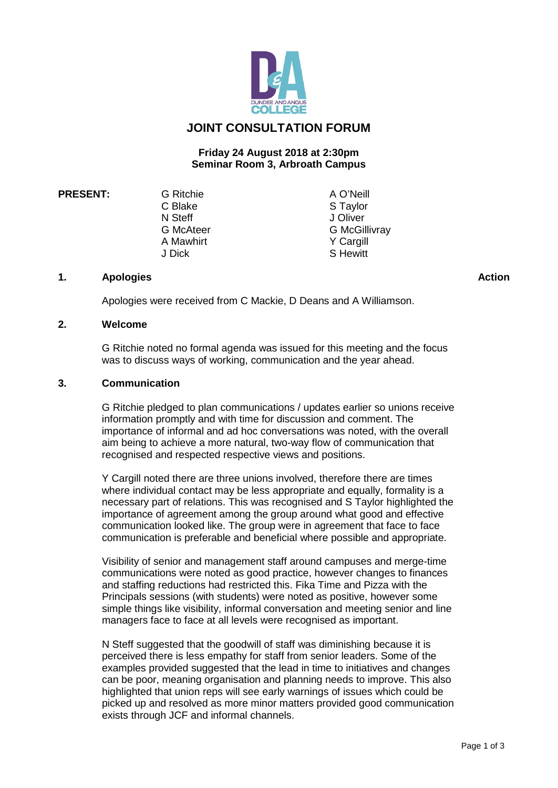

#### **JOINT CONSULTATION FORUM**

#### **Friday 24 August 2018 at 2:30pm Seminar Room 3, Arbroath Campus**

**PRESENT:** G Ritchie A O'Neill<br>C Blake A S Taylor N Steff J Oliver<br>
G McAteer G McGil A Mawhirt<br>J Dick

S Taylor G McGillivray<br>Y Cargill S Hewitt

#### **1. Apologies**

Apologies were received from C Mackie, D Deans and A Williamson.

#### **2. Welcome**

G Ritchie noted no formal agenda was issued for this meeting and the focus was to discuss ways of working, communication and the year ahead.

#### **3. Communication**

G Ritchie pledged to plan communications / updates earlier so unions receive information promptly and with time for discussion and comment. The importance of informal and ad hoc conversations was noted, with the overall aim being to achieve a more natural, two-way flow of communication that recognised and respected respective views and positions.

Y Cargill noted there are three unions involved, therefore there are times where individual contact may be less appropriate and equally, formality is a necessary part of relations. This was recognised and S Taylor highlighted the importance of agreement among the group around what good and effective communication looked like. The group were in agreement that face to face communication is preferable and beneficial where possible and appropriate.

Visibility of senior and management staff around campuses and merge-time communications were noted as good practice, however changes to finances and staffing reductions had restricted this. Fika Time and Pizza with the Principals sessions (with students) were noted as positive, however some simple things like visibility, informal conversation and meeting senior and line managers face to face at all levels were recognised as important.

N Steff suggested that the goodwill of staff was diminishing because it is perceived there is less empathy for staff from senior leaders. Some of the examples provided suggested that the lead in time to initiatives and changes can be poor, meaning organisation and planning needs to improve. This also highlighted that union reps will see early warnings of issues which could be picked up and resolved as more minor matters provided good communication exists through JCF and informal channels.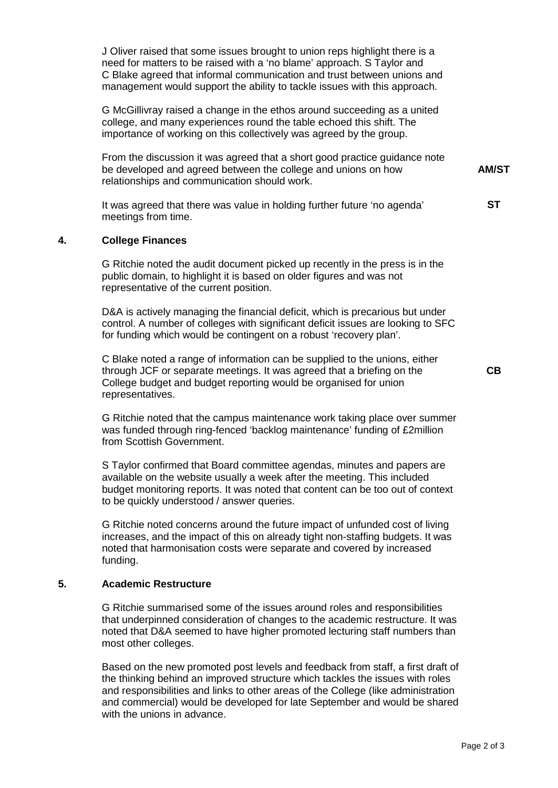J Oliver raised that some issues brought to union reps highlight there is a need for matters to be raised with a 'no blame' approach. S Taylor and C Blake agreed that informal communication and trust between unions and management would support the ability to tackle issues with this approach.

G McGillivray raised a change in the ethos around succeeding as a united college, and many experiences round the table echoed this shift. The importance of working on this collectively was agreed by the group.

From the discussion it was agreed that a short good practice guidance note be developed and agreed between the college and unions on how relationships and communication should work.

It was agreed that there was value in holding further future 'no agenda' meetings from time.

#### **4. College Finances**

G Ritchie noted the audit document picked up recently in the press is in the public domain, to highlight it is based on older figures and was not representative of the current position.

D&A is actively managing the financial deficit, which is precarious but under control. A number of colleges with significant deficit issues are looking to SFC for funding which would be contingent on a robust 'recovery plan'.

C Blake noted a range of information can be supplied to the unions, either through JCF or separate meetings. It was agreed that a briefing on the College budget and budget reporting would be organised for union representatives.

G Ritchie noted that the campus maintenance work taking place over summer was funded through ring-fenced 'backlog maintenance' funding of £2million from Scottish Government.

S Taylor confirmed that Board committee agendas, minutes and papers are available on the website usually a week after the meeting. This included budget monitoring reports. It was noted that content can be too out of context to be quickly understood / answer queries.

G Ritchie noted concerns around the future impact of unfunded cost of living increases, and the impact of this on already tight non-staffing budgets. It was noted that harmonisation costs were separate and covered by increased funding.

#### **5. Academic Restructure**

G Ritchie summarised some of the issues around roles and responsibilities that underpinned consideration of changes to the academic restructure. It was noted that D&A seemed to have higher promoted lecturing staff numbers than most other colleges.

Based on the new promoted post levels and feedback from staff, a first draft of the thinking behind an improved structure which tackles the issues with roles and responsibilities and links to other areas of the College (like administration and commercial) would be developed for late September and would be shared with the unions in advance.

**AM/ST**

**ST**

**CB**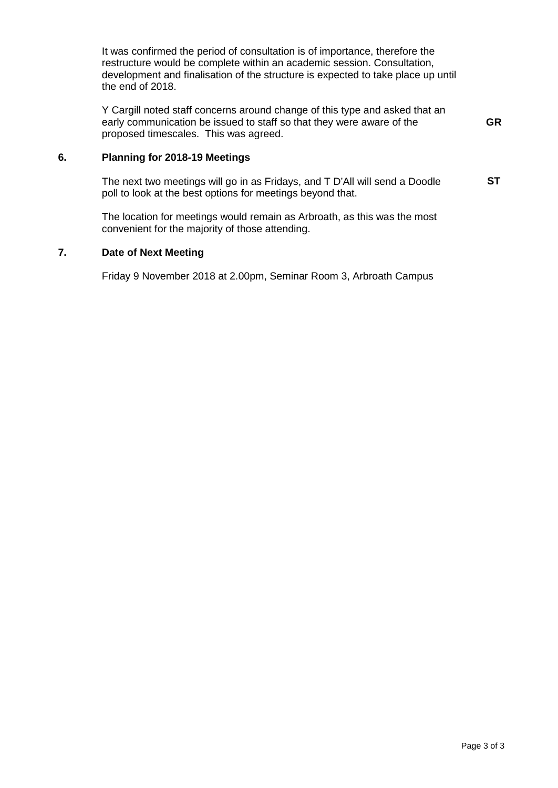It was confirmed the period of consultation is of importance, therefore the restructure would be complete within an academic session. Consultation, development and finalisation of the structure is expected to take place up until the end of 2018.

Y Cargill noted staff concerns around change of this type and asked that an early communication be issued to staff so that they were aware of the proposed timescales. This was agreed. **GR**

#### **6. Planning for 2018-19 Meetings**

The next two meetings will go in as Fridays, and T D'All will send a Doodle poll to look at the best options for meetings beyond that. **ST**

The location for meetings would remain as Arbroath, as this was the most convenient for the majority of those attending.

#### **7. Date of Next Meeting**

Friday 9 November 2018 at 2.00pm, Seminar Room 3, Arbroath Campus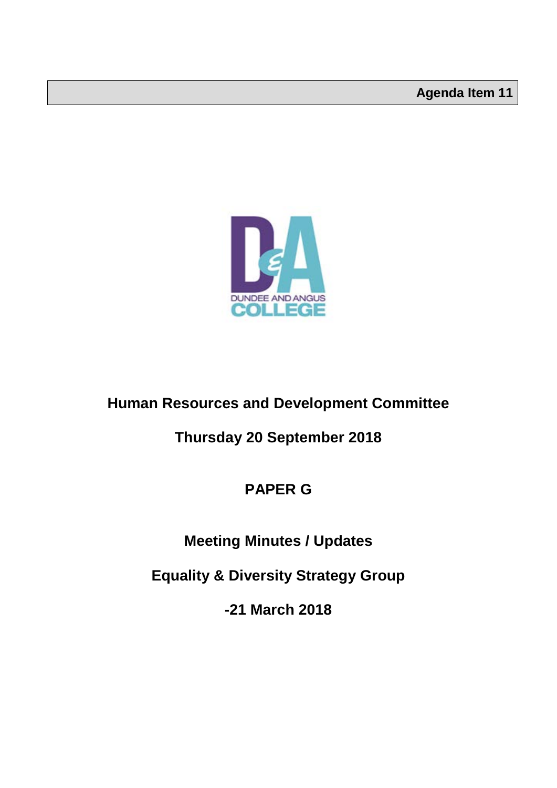

### **Human Resources and Development Committee**

### **Thursday 20 September 2018**

### **PAPER G**

### **Meeting Minutes / Updates**

**Equality & Diversity Strategy Group**

**-21 March 2018**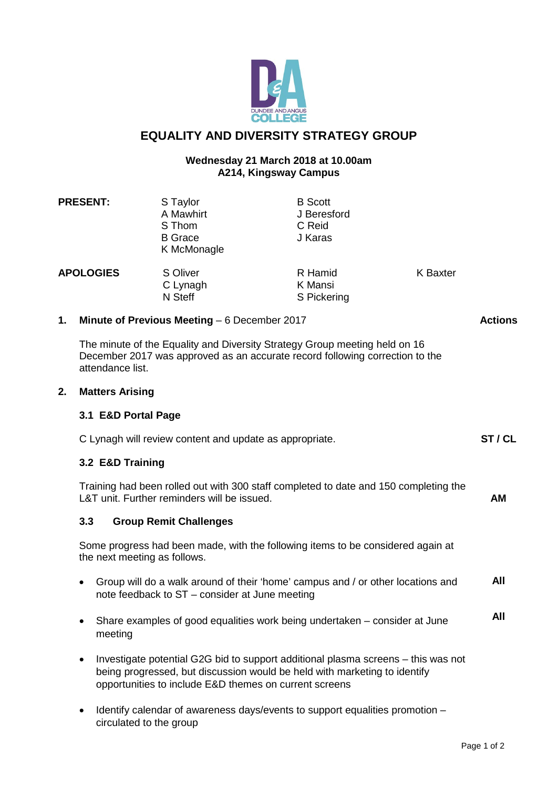

#### **EQUALITY AND DIVERSITY STRATEGY GROUP**

#### **Wednesday 21 March 2018 at 10.00am A214, Kingsway Campus**

|                  | 3.1 E&D Portal Page    |                                                                  |                                                                                                                                                            |                 |                |
|------------------|------------------------|------------------------------------------------------------------|------------------------------------------------------------------------------------------------------------------------------------------------------------|-----------------|----------------|
| 2.               | <b>Matters Arising</b> |                                                                  |                                                                                                                                                            |                 |                |
|                  | attendance list.       |                                                                  | The minute of the Equality and Diversity Strategy Group meeting held on 16<br>December 2017 was approved as an accurate record following correction to the |                 |                |
| 1.               |                        | Minute of Previous Meeting $-6$ December 2017                    |                                                                                                                                                            |                 | <b>Actions</b> |
| <b>APOLOGIES</b> |                        | S Oliver<br>C Lynagh<br>N Steff                                  | R Hamid<br>K Mansi<br>S Pickering                                                                                                                          | <b>K</b> Baxter |                |
|                  | <b>PRESENT:</b>        | S Taylor<br>A Mawhirt<br>S Thom<br><b>B</b> Grace<br>K McMonagle | <b>B</b> Scott<br>J Beresford<br>C Reid<br>J Karas                                                                                                         |                 |                |

| C Lynagh will review content and update as appropriate. | ST / CL |
|---------------------------------------------------------|---------|
| 3.2 E&D Training                                        |         |

Training had been rolled out with 300 staff completed to date and 150 completing the L&T unit. Further reminders will be issued.

#### **3.3 Group Remit Challenges**

Some progress had been made, with the following items to be considered again at the next meeting as follows.

- Group will do a walk around of their 'home' campus and / or other locations and note feedback to ST – consider at June meeting **All**
- Share examples of good equalities work being undertaken consider at June meeting **All**
- Investigate potential G2G bid to support additional plasma screens this was not being progressed, but discussion would be held with marketing to identify opportunities to include E&D themes on current screens
- Identify calendar of awareness days/events to support equalities promotion circulated to the group

**AM**